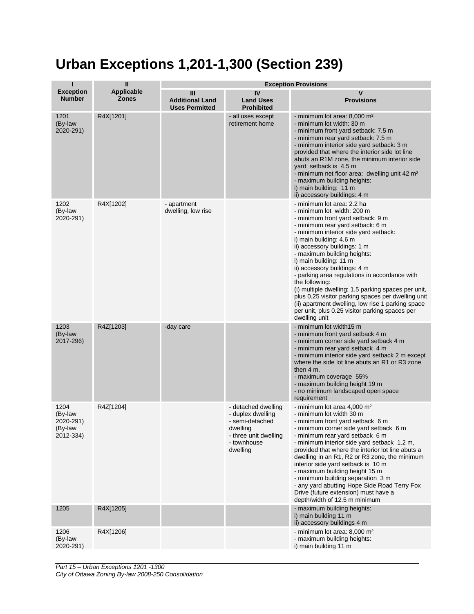## **Urban Exceptions 1,201-1,300 (Section 239)**

| п                                                    | $\mathbf{II}$              | <b>Exception Provisions</b>                          |                                                                                                                             |                                                                                                                                                                                                                                                                                                                                                                                                                                                                                                                                                                                                                                        |  |
|------------------------------------------------------|----------------------------|------------------------------------------------------|-----------------------------------------------------------------------------------------------------------------------------|----------------------------------------------------------------------------------------------------------------------------------------------------------------------------------------------------------------------------------------------------------------------------------------------------------------------------------------------------------------------------------------------------------------------------------------------------------------------------------------------------------------------------------------------------------------------------------------------------------------------------------------|--|
| <b>Exception</b><br><b>Number</b>                    | Applicable<br><b>Zones</b> | Ш<br><b>Additional Land</b><br><b>Uses Permitted</b> | IV<br><b>Land Uses</b><br><b>Prohibited</b>                                                                                 | V<br><b>Provisions</b>                                                                                                                                                                                                                                                                                                                                                                                                                                                                                                                                                                                                                 |  |
| 1201<br>(By-law<br>2020-291)                         | R4X[1201]                  |                                                      | - all uses except<br>retirement home                                                                                        | - minimum lot area: 8,000 m <sup>2</sup><br>- minimum lot width: 30 m<br>- minimum front yard setback: 7.5 m<br>- minimum rear yard setback: 7.5 m<br>- minimum interior side yard setback: 3 m<br>provided that where the interior side lot line<br>abuts an R1M zone, the minimum interior side<br>yard setback is 4.5 m<br>- minimum net floor area: dwelling unit 42 m <sup>2</sup><br>- maximum building heights:<br>i) main building: 11 m<br>ii) accessory buildings: 4 m                                                                                                                                                       |  |
| 1202<br>(By-law<br>2020-291)                         | R4X[1202]                  | - apartment<br>dwelling, low rise                    |                                                                                                                             | - minimum lot area: 2.2 ha<br>- minimum lot width: 200 m<br>- minimum front yard setback: 9 m<br>- minimum rear yard setback: 6 m<br>- minimum interior side yard setback:<br>i) main building: 4.6 m<br>ii) accessory buildings: 1 m<br>- maximum building heights:<br>i) main building: 11 m<br>ii) accessory buildings: 4 m<br>- parking area regulations in accordance with<br>the following:<br>(i) multiple dwelling: 1.5 parking spaces per unit,<br>plus 0.25 visitor parking spaces per dwelling unit<br>(ii) apartment dwelling, low rise 1 parking space<br>per unit, plus 0.25 visitor parking spaces per<br>dwelling unit |  |
| 1203<br>(By-law<br>2017-296)                         | R4Z[1203]                  | -day care                                            |                                                                                                                             | - minimum lot width15 m<br>- minimum front yard setback 4 m<br>- minimum corner side yard setback 4 m<br>- minimum rear yard setback 4 m<br>- minimum interior side yard setback 2 m except<br>where the side lot line abuts an R1 or R3 zone<br>then $4m$ .<br>- maximum coverage 55%<br>- maximum building height 19 m<br>- no minimum landscaped open space<br>requirement                                                                                                                                                                                                                                                          |  |
| 1204<br>(By-law<br>2020-291)<br>(By-law<br>2012-334) | R4Z[1204]                  |                                                      | - detached dwelling<br>- duplex dwelling<br>- semi-detached<br>dwelling<br>- three unit dwelling<br>- townhouse<br>dwelling | - minimum lot area 4,000 m <sup>2</sup><br>- minimum lot width 30 m<br>- minimum front yard setback 6 m<br>- minimum corner side yard setback 6 m<br>- minimum rear yard setback 6 m<br>- minimum interior side yard setback 1.2 m,<br>provided that where the interior lot line abuts a<br>dwelling in an R1, R2 or R3 zone, the minimum<br>interior side yard setback is 10 m<br>- maximum building height 15 m<br>- minimum building separation 3 m<br>- any yard abutting Hope Side Road Terry Fox<br>Drive (future extension) must have a<br>depth/width of 12.5 m minimum                                                        |  |
| 1205                                                 | R4X[1205]                  |                                                      |                                                                                                                             | - maximum building heights:<br>i) main building 11 m<br>ii) accessory buildings 4 m                                                                                                                                                                                                                                                                                                                                                                                                                                                                                                                                                    |  |
| 1206<br>(By-law<br>2020-291)                         | R4X[1206]                  |                                                      |                                                                                                                             | - minimum lot area: 8,000 m <sup>2</sup><br>- maximum building heights:<br>i) main building 11 m                                                                                                                                                                                                                                                                                                                                                                                                                                                                                                                                       |  |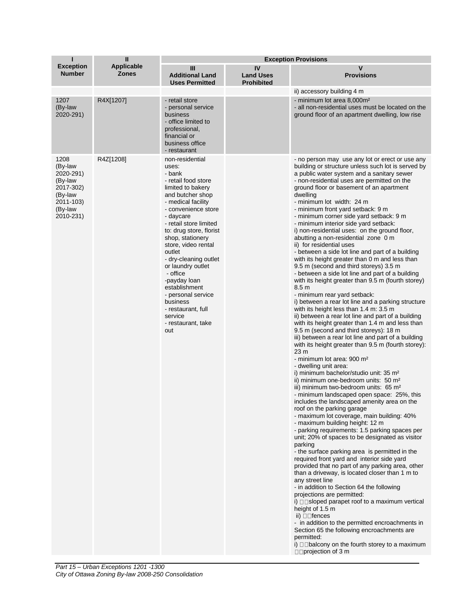| п                                                                                                    | Ш                                 | <b>Exception Provisions</b>                                                                                                                                                                                                                                                                                                                                                                                                                                       |                                             |                                                                                                                                                                                                                                                                                                                                                                                                                                                                                                                                                                                                                                                                                                                                                                                                                                                                                                                                                                                                                                                                                                                                                                                                                                                                                                                                                                                                                                                                                                                                                                                                                                                                                                                                                                                                                                                                                                                                                                                                                                                                                                                                                                                                                                                                                                                                                                                                                            |  |
|------------------------------------------------------------------------------------------------------|-----------------------------------|-------------------------------------------------------------------------------------------------------------------------------------------------------------------------------------------------------------------------------------------------------------------------------------------------------------------------------------------------------------------------------------------------------------------------------------------------------------------|---------------------------------------------|----------------------------------------------------------------------------------------------------------------------------------------------------------------------------------------------------------------------------------------------------------------------------------------------------------------------------------------------------------------------------------------------------------------------------------------------------------------------------------------------------------------------------------------------------------------------------------------------------------------------------------------------------------------------------------------------------------------------------------------------------------------------------------------------------------------------------------------------------------------------------------------------------------------------------------------------------------------------------------------------------------------------------------------------------------------------------------------------------------------------------------------------------------------------------------------------------------------------------------------------------------------------------------------------------------------------------------------------------------------------------------------------------------------------------------------------------------------------------------------------------------------------------------------------------------------------------------------------------------------------------------------------------------------------------------------------------------------------------------------------------------------------------------------------------------------------------------------------------------------------------------------------------------------------------------------------------------------------------------------------------------------------------------------------------------------------------------------------------------------------------------------------------------------------------------------------------------------------------------------------------------------------------------------------------------------------------------------------------------------------------------------------------------------------------|--|
| <b>Exception</b><br><b>Number</b>                                                                    | <b>Applicable</b><br><b>Zones</b> | Ш<br><b>Additional Land</b><br><b>Uses Permitted</b>                                                                                                                                                                                                                                                                                                                                                                                                              | IV<br><b>Land Uses</b><br><b>Prohibited</b> | v<br><b>Provisions</b>                                                                                                                                                                                                                                                                                                                                                                                                                                                                                                                                                                                                                                                                                                                                                                                                                                                                                                                                                                                                                                                                                                                                                                                                                                                                                                                                                                                                                                                                                                                                                                                                                                                                                                                                                                                                                                                                                                                                                                                                                                                                                                                                                                                                                                                                                                                                                                                                     |  |
|                                                                                                      |                                   |                                                                                                                                                                                                                                                                                                                                                                                                                                                                   |                                             | ii) accessory building 4 m                                                                                                                                                                                                                                                                                                                                                                                                                                                                                                                                                                                                                                                                                                                                                                                                                                                                                                                                                                                                                                                                                                                                                                                                                                                                                                                                                                                                                                                                                                                                                                                                                                                                                                                                                                                                                                                                                                                                                                                                                                                                                                                                                                                                                                                                                                                                                                                                 |  |
| 1207<br>(By-law<br>2020-291)                                                                         | R4X[1207]                         | - retail store<br>- personal service<br>business<br>- office limited to<br>professional,<br>financial or<br>business office<br>- restaurant                                                                                                                                                                                                                                                                                                                       |                                             | - minimum lot area 8,000m <sup>2</sup><br>- all non-residential uses must be located on the<br>ground floor of an apartment dwelling, low rise                                                                                                                                                                                                                                                                                                                                                                                                                                                                                                                                                                                                                                                                                                                                                                                                                                                                                                                                                                                                                                                                                                                                                                                                                                                                                                                                                                                                                                                                                                                                                                                                                                                                                                                                                                                                                                                                                                                                                                                                                                                                                                                                                                                                                                                                             |  |
| 1208<br>(By-law<br>2020-291)<br>(By-law<br>2017-302)<br>(By-law<br>2011-103)<br>(By-law<br>2010-231) | R4Z[1208]                         | non-residential<br>uses:<br>- bank<br>- retail food store<br>limited to bakery<br>and butcher shop<br>- medical facility<br>- convenience store<br>- daycare<br>- retail store limited<br>to: drug store, florist<br>shop, stationery<br>store, video rental<br>outlet<br>- dry-cleaning outlet<br>or laundry outlet<br>- office<br>-payday loan<br>establishment<br>- personal service<br>business<br>- restaurant, full<br>service<br>- restaurant, take<br>out |                                             | - no person may use any lot or erect or use any<br>building or structure unless such lot is served by<br>a public water system and a sanitary sewer<br>- non-residential uses are permitted on the<br>ground floor or basement of an apartment<br>dwelling<br>- minimum lot width: 24 m<br>- minimum front yard setback: 9 m<br>- minimum corner side yard setback: 9 m<br>- minimum interior side yard setback:<br>i) non-residential uses: on the ground floor,<br>abutting a non-residential zone 0 m<br>ii) for residential uses<br>- between a side lot line and part of a building<br>with its height greater than 0 m and less than<br>9.5 m (second and third storeys) 3.5 m<br>- between a side lot line and part of a building<br>with its height greater than 9.5 m (fourth storey)<br>8.5 <sub>m</sub><br>- minimum rear yard setback:<br>i) between a rear lot line and a parking structure<br>with its height less than 1.4 m: 3.5 m<br>ii) between a rear lot line and part of a building<br>with its height greater than 1.4 m and less than<br>9.5 m (second and third storeys): 18 m<br>iii) between a rear lot line and part of a building<br>with its height greater than 9.5 m (fourth storey):<br>23 <sub>m</sub><br>- minimum lot area: 900 m <sup>2</sup><br>- dwelling unit area:<br>i) minimum bachelor/studio unit: 35 m <sup>2</sup><br>ii) minimum one-bedroom units: 50 m <sup>2</sup><br>iii) minimum two-bedroom units: 65 m <sup>2</sup><br>- minimum landscaped open space: 25%, this<br>includes the landscaped amenity area on the<br>roof on the parking garage<br>- maximum lot coverage, main building: 40%<br>- maximum building height: 12 m<br>- parking requirements: 1.5 parking spaces per<br>unit; 20% of spaces to be designated as visitor<br>parking<br>- the surface parking area is permitted in the<br>required front yard and interior side yard<br>provided that no part of any parking area, other<br>than a driveway, is located closer than 1 m to<br>any street line<br>- in addition to Section 64 the following<br>projections are permitted:<br>i) $\square$ sloped parapet roof to a maximum vertical<br>height of 1.5 m<br>ii) $\square$ Tences<br>- in addition to the permitted encroachments in<br>Section 65 the following encroachments are<br>permitted:<br>i) $\Box$ $\Box$ balcony on the fourth storey to a maximum<br>$\square$ projection of 3 m |  |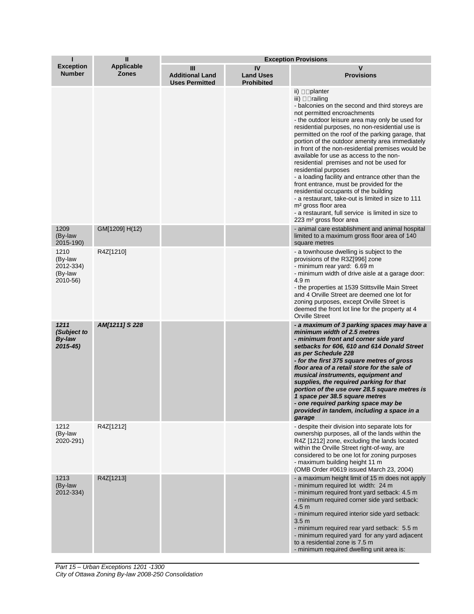| п                                                   | $\mathbf{u}$               | <b>Exception Provisions</b>                          |                                             |                                                                                                                                                                                                                                                                                                                                                                                                                                                                                                                                                                                                                                                                                                                                                                                                                                                 |  |
|-----------------------------------------------------|----------------------------|------------------------------------------------------|---------------------------------------------|-------------------------------------------------------------------------------------------------------------------------------------------------------------------------------------------------------------------------------------------------------------------------------------------------------------------------------------------------------------------------------------------------------------------------------------------------------------------------------------------------------------------------------------------------------------------------------------------------------------------------------------------------------------------------------------------------------------------------------------------------------------------------------------------------------------------------------------------------|--|
| <b>Exception</b><br><b>Number</b>                   | Applicable<br><b>Zones</b> | Ш<br><b>Additional Land</b><br><b>Uses Permitted</b> | IV<br><b>Land Uses</b><br><b>Prohibited</b> | v<br><b>Provisions</b>                                                                                                                                                                                                                                                                                                                                                                                                                                                                                                                                                                                                                                                                                                                                                                                                                          |  |
|                                                     |                            |                                                      |                                             | ii) $\square$ planter<br>iii) $\Box$ railing<br>- balconies on the second and third storeys are<br>not permitted encroachments<br>- the outdoor leisure area may only be used for<br>residential purposes, no non-residential use is<br>permitted on the roof of the parking garage, that<br>portion of the outdoor amenity area immediately<br>in front of the non-residential premises would be<br>available for use as access to the non-<br>residential premises and not be used for<br>residential purposes<br>- a loading facility and entrance other than the<br>front entrance, must be provided for the<br>residential occupants of the building<br>- a restaurant, take-out is limited in size to 111<br>m <sup>2</sup> gross floor area<br>- a restaurant, full service is limited in size to<br>223 m <sup>2</sup> gross floor area |  |
| 1209<br>(By-law<br>2015-190)                        | GM[1209] H(12)             |                                                      |                                             | - animal care establishment and animal hospital<br>limited to a maximum gross floor area of 140<br>square metres                                                                                                                                                                                                                                                                                                                                                                                                                                                                                                                                                                                                                                                                                                                                |  |
| 1210<br>(By-law<br>2012-334)<br>(By-law<br>2010-56) | R4Z[1210]                  |                                                      |                                             | - a townhouse dwelling is subject to the<br>provisions of the R3Z[996] zone<br>- minimum rear yard: 6.69 m<br>- minimum width of drive aisle at a garage door:<br>4.9 <sub>m</sub><br>- the properties at 1539 Stittsville Main Street<br>and 4 Orville Street are deemed one lot for<br>zoning purposes, except Orville Street is<br>deemed the front lot line for the property at 4<br><b>Orville Street</b>                                                                                                                                                                                                                                                                                                                                                                                                                                  |  |
| 1211<br>(Subject to<br><b>By-law</b><br>$2015 - 45$ | AM[1211] S 228             |                                                      |                                             | - a maximum of 3 parking spaces may have a<br>minimum width of 2.5 metres<br>- minimum front and corner side yard<br>setbacks for 606, 610 and 614 Donald Street<br>as per Schedule 228<br>- for the first 375 square metres of gross<br>floor area of a retail store for the sale of<br>musical instruments, equipment and<br>supplies, the required parking for that<br>portion of the use over 28.5 square metres is<br>1 space per 38.5 square metres<br>- one required parking space may be<br>provided in tandem, including a space in a<br>garage                                                                                                                                                                                                                                                                                        |  |
| 1212<br>(By-law<br>2020-291)                        | R4Z[1212]                  |                                                      |                                             | - despite their division into separate lots for<br>ownership purposes, all of the lands within the<br>R4Z [1212] zone, excluding the lands located<br>within the Orville Street right-of-way, are<br>considered to be one lot for zoning purposes<br>- maximum building height 11 m<br>(OMB Order #0619 issued March 23, 2004)                                                                                                                                                                                                                                                                                                                                                                                                                                                                                                                  |  |
| 1213<br>(By-law<br>2012-334)                        | R4Z[1213]                  |                                                      |                                             | - a maximum height limit of 15 m does not apply<br>- minimum required lot width: 24 m<br>- minimum required front yard setback: 4.5 m<br>- minimum required corner side yard setback:<br>4.5 <sub>m</sub><br>- minimum required interior side yard setback:<br>3.5 <sub>m</sub><br>- minimum required rear yard setback: 5.5 m<br>- minimum required yard for any yard adjacent<br>to a residential zone is 7.5 m<br>- minimum required dwelling unit area is:                                                                                                                                                                                                                                                                                                                                                                                  |  |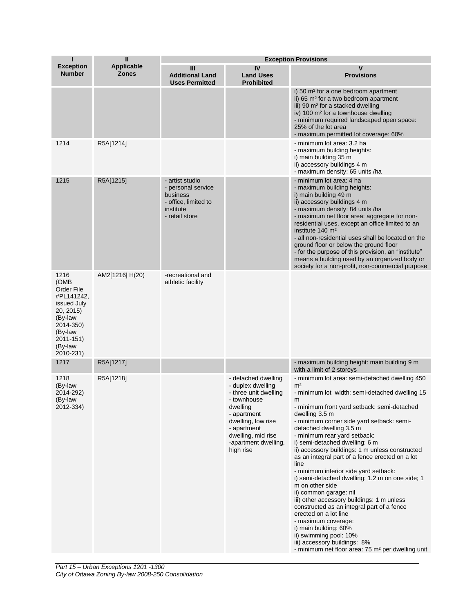| п                                                                                                                                            | $\mathbf{II}$                     | <b>Exception Provisions</b>                                                                              |                                                                                                                                                                                                             |                                                                                                                                                                                                                                                                                                                                                                                                                                                                                                                                                                                                                                                                                                                                                                                                                                                                                           |  |
|----------------------------------------------------------------------------------------------------------------------------------------------|-----------------------------------|----------------------------------------------------------------------------------------------------------|-------------------------------------------------------------------------------------------------------------------------------------------------------------------------------------------------------------|-------------------------------------------------------------------------------------------------------------------------------------------------------------------------------------------------------------------------------------------------------------------------------------------------------------------------------------------------------------------------------------------------------------------------------------------------------------------------------------------------------------------------------------------------------------------------------------------------------------------------------------------------------------------------------------------------------------------------------------------------------------------------------------------------------------------------------------------------------------------------------------------|--|
| <b>Exception</b><br><b>Number</b>                                                                                                            | <b>Applicable</b><br><b>Zones</b> | Ш<br><b>Additional Land</b><br><b>Uses Permitted</b>                                                     | IV<br><b>Land Uses</b><br><b>Prohibited</b>                                                                                                                                                                 | v<br><b>Provisions</b>                                                                                                                                                                                                                                                                                                                                                                                                                                                                                                                                                                                                                                                                                                                                                                                                                                                                    |  |
|                                                                                                                                              |                                   |                                                                                                          |                                                                                                                                                                                                             | i) 50 m <sup>2</sup> for a one bedroom apartment<br>ii) 65 m <sup>2</sup> for a two bedroom apartment<br>iii) 90 m <sup>2</sup> for a stacked dwelling<br>iv) 100 m <sup>2</sup> for a townhouse dwelling<br>- minimum required landscaped open space:<br>25% of the lot area<br>- maximum permitted lot coverage: 60%                                                                                                                                                                                                                                                                                                                                                                                                                                                                                                                                                                    |  |
| 1214                                                                                                                                         | R5A[1214]                         |                                                                                                          |                                                                                                                                                                                                             | - minimum lot area: 3.2 ha<br>- maximum building heights:<br>i) main building 35 m<br>ii) accessory buildings 4 m<br>- maximum density: 65 units /ha                                                                                                                                                                                                                                                                                                                                                                                                                                                                                                                                                                                                                                                                                                                                      |  |
| 1215                                                                                                                                         | R5A[1215]                         | - artist studio<br>- personal service<br>business<br>- office, limited to<br>institute<br>- retail store |                                                                                                                                                                                                             | - minimum lot area: 4 ha<br>- maximum building heights:<br>i) main building 49 m<br>ii) accessory buildings 4 m<br>- maximum density: 84 units /ha<br>- maximum net floor area: aggregate for non-<br>residential uses, except an office limited to an<br>institute 140 m <sup>2</sup><br>- all non-residential uses shall be located on the<br>ground floor or below the ground floor<br>- for the purpose of this provision, an "institute"<br>means a building used by an organized body or<br>society for a non-profit, non-commercial purpose                                                                                                                                                                                                                                                                                                                                        |  |
| 1216<br>(OMB<br>Order File<br>#PL141242,<br>issued July<br>20, 2015)<br>(By-law<br>2014-350)<br>(By-law<br>2011-151)<br>(By-law<br>2010-231) | AM2[1216] H(20)                   | -recreational and<br>athletic facility                                                                   |                                                                                                                                                                                                             |                                                                                                                                                                                                                                                                                                                                                                                                                                                                                                                                                                                                                                                                                                                                                                                                                                                                                           |  |
| 1217                                                                                                                                         | R5A[1217]                         |                                                                                                          |                                                                                                                                                                                                             | - maximum building height: main building 9 m<br>with a limit of 2 storeys                                                                                                                                                                                                                                                                                                                                                                                                                                                                                                                                                                                                                                                                                                                                                                                                                 |  |
| 1218<br>(By-law<br>2014-292)<br>(By-law<br>2012-334)                                                                                         | R5A[1218]                         |                                                                                                          | - detached dwelling<br>- duplex dwelling<br>- three unit dwelling<br>- townhouse<br>dwelling<br>- apartment<br>dwelling, low rise<br>- apartment<br>dwelling, mid rise<br>-apartment dwelling,<br>high rise | - minimum lot area: semi-detached dwelling 450<br>m <sup>2</sup><br>- minimum lot width: semi-detached dwelling 15<br>m<br>- minimum front yard setback: semi-detached<br>dwelling 3.5 m<br>- minimum corner side yard setback: semi-<br>detached dwelling 3.5 m<br>- minimum rear yard setback:<br>i) semi-detached dwelling: 6 m<br>ii) accessory buildings: 1 m unless constructed<br>as an integral part of a fence erected on a lot<br>line<br>- minimum interior side yard setback:<br>i) semi-detached dwelling: 1.2 m on one side; 1<br>m on other side<br>ii) common garage: nil<br>iii) other accessory buildings: 1 m unless<br>constructed as an integral part of a fence<br>erected on a lot line<br>- maximum coverage:<br>i) main building: 60%<br>ii) swimming pool: 10%<br>iii) accessory buildings: 8%<br>- minimum net floor area: 75 m <sup>2</sup> per dwelling unit |  |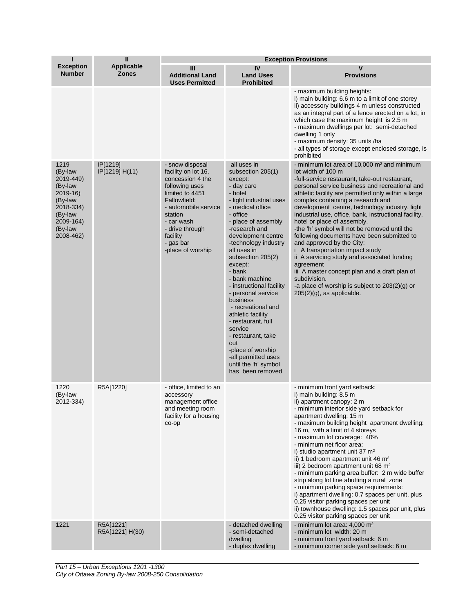| т                                                                                                                           | $\mathbf{I}$                      | <b>Exception Provisions</b>                                                                                                                                                                                                       |                                                                                                                                                                                                                                                                                                                                                                                                                                                                                                                                                                 |                                                                                                                                                                                                                                                                                                                                                                                                                                                                                                                                                                                                                                                                                                                                                                                                         |  |
|-----------------------------------------------------------------------------------------------------------------------------|-----------------------------------|-----------------------------------------------------------------------------------------------------------------------------------------------------------------------------------------------------------------------------------|-----------------------------------------------------------------------------------------------------------------------------------------------------------------------------------------------------------------------------------------------------------------------------------------------------------------------------------------------------------------------------------------------------------------------------------------------------------------------------------------------------------------------------------------------------------------|---------------------------------------------------------------------------------------------------------------------------------------------------------------------------------------------------------------------------------------------------------------------------------------------------------------------------------------------------------------------------------------------------------------------------------------------------------------------------------------------------------------------------------------------------------------------------------------------------------------------------------------------------------------------------------------------------------------------------------------------------------------------------------------------------------|--|
| <b>Exception</b><br><b>Number</b>                                                                                           | <b>Applicable</b><br><b>Zones</b> | Ш<br><b>Additional Land</b><br><b>Uses Permitted</b>                                                                                                                                                                              | IV<br><b>Land Uses</b><br><b>Prohibited</b>                                                                                                                                                                                                                                                                                                                                                                                                                                                                                                                     | $\mathsf{v}$<br><b>Provisions</b>                                                                                                                                                                                                                                                                                                                                                                                                                                                                                                                                                                                                                                                                                                                                                                       |  |
|                                                                                                                             |                                   |                                                                                                                                                                                                                                   |                                                                                                                                                                                                                                                                                                                                                                                                                                                                                                                                                                 | - maximum building heights:<br>i) main building: 6.6 m to a limit of one storey<br>ii) accessory buildings 4 m unless constructed<br>as an integral part of a fence erected on a lot, in<br>which case the maximum height is 2.5 m<br>- maximum dwellings per lot: semi-detached<br>dwelling 1 only<br>- maximum density: 35 units /ha<br>- all types of storage except enclosed storage, is<br>prohibited                                                                                                                                                                                                                                                                                                                                                                                              |  |
| 1219<br>(By-law<br>2019-449)<br>(By-law<br>2019-16)<br>(By-law<br>2018-334)<br>(By-law<br>2009-164)<br>(By-law<br>2008-462) | IP[1219]<br>IP[1219] H(11)        | - snow disposal<br>facility on lot 16,<br>concession 4 the<br>following uses<br>limited to 4451<br>Fallowfield:<br>- automobile service<br>station<br>- car wash<br>- drive through<br>facility<br>- gas bar<br>-place of worship | all uses in<br>subsection 205(1)<br>except:<br>- day care<br>- hotel<br>- light industrial uses<br>- medical office<br>- office<br>- place of assembly<br>-research and<br>development centre<br>-technology industry<br>all uses in<br>subsection 205(2)<br>except:<br>- bank<br>- bank machine<br>- instructional facility<br>- personal service<br>business<br>- recreational and<br>athletic facility<br>- restaurant, full<br>service<br>- restaurant, take<br>out<br>-place of worship<br>-all permitted uses<br>until the 'h' symbol<br>has been removed | - minimum lot area of 10,000 m <sup>2</sup> and minimum<br>lot width of 100 m<br>-full-service restaurant, take-out restaurant,<br>personal service business and recreational and<br>athletic facility are permitted only within a large<br>complex containing a research and<br>development centre, technology industry, light<br>industrial use, office, bank, instructional facility,<br>hotel or place of assembly.<br>-the 'h' symbol will not be removed until the<br>following documents have been submitted to<br>and approved by the City:<br>i A transportation impact study<br>ii A servicing study and associated funding<br>agreement<br>iii A master concept plan and a draft plan of<br>subdivision.<br>-a place of worship is subject to $203(2)(g)$ or<br>$205(2)(g)$ , as applicable. |  |
| 1220<br>(By-law<br>2012-334)                                                                                                | R5A[1220]                         | - office, limited to an<br>accessory<br>management office<br>and meeting room<br>facility for a housing<br>co-op                                                                                                                  |                                                                                                                                                                                                                                                                                                                                                                                                                                                                                                                                                                 | - minimum front yard setback:<br>i) main building: 8.5 m<br>ii) apartment canopy: 2 m<br>- minimum interior side yard setback for<br>apartment dwelling: 15 m<br>- maximum building height apartment dwelling:<br>16 m, with a limit of 4 storeys<br>- maximum lot coverage: 40%<br>- minimum net floor area:<br>i) studio apartment unit 37 m <sup>2</sup><br>ii) 1 bedroom apartment unit 46 m <sup>2</sup><br>iii) 2 bedroom apartment unit 68 m <sup>2</sup><br>- minimum parking area buffer: 2 m wide buffer<br>strip along lot line abutting a rural zone<br>- minimum parking space requirements:<br>i) apartment dwelling: 0.7 spaces per unit, plus<br>0.25 visitor parking spaces per unit<br>ii) townhouse dwelling: 1.5 spaces per unit, plus<br>0.25 visitor parking spaces per unit      |  |
| 1221                                                                                                                        | R5A[1221]<br>R5A[1221] H(30)      |                                                                                                                                                                                                                                   | - detached dwelling<br>- semi-detached<br>dwelling<br>- duplex dwelling                                                                                                                                                                                                                                                                                                                                                                                                                                                                                         | - minimum lot area: 4,000 m <sup>2</sup><br>- minimum lot width: 20 m<br>- minimum front yard setback: 6 m<br>- minimum corner side yard setback: 6 m                                                                                                                                                                                                                                                                                                                                                                                                                                                                                                                                                                                                                                                   |  |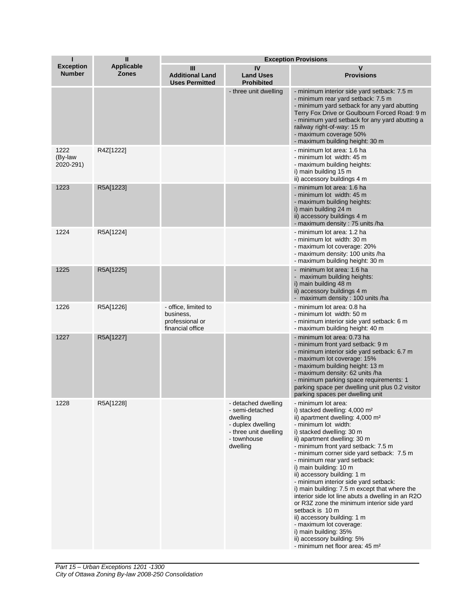| т                                 | $\mathbf{I}$                      | <b>Exception Provisions</b>                                              |                                                                                                                             |                                                                                                                                                                                                                                                                                                                                                                                                                                                                                                                                                                                                                                                                                                                                                                   |
|-----------------------------------|-----------------------------------|--------------------------------------------------------------------------|-----------------------------------------------------------------------------------------------------------------------------|-------------------------------------------------------------------------------------------------------------------------------------------------------------------------------------------------------------------------------------------------------------------------------------------------------------------------------------------------------------------------------------------------------------------------------------------------------------------------------------------------------------------------------------------------------------------------------------------------------------------------------------------------------------------------------------------------------------------------------------------------------------------|
| <b>Exception</b><br><b>Number</b> | <b>Applicable</b><br><b>Zones</b> | Ш<br><b>Additional Land</b><br><b>Uses Permitted</b>                     | IV<br><b>Land Uses</b><br><b>Prohibited</b>                                                                                 | v<br><b>Provisions</b>                                                                                                                                                                                                                                                                                                                                                                                                                                                                                                                                                                                                                                                                                                                                            |
|                                   |                                   |                                                                          | - three unit dwelling                                                                                                       | - minimum interior side yard setback: 7.5 m<br>- minimum rear yard setback: 7.5 m<br>- minimum yard setback for any yard abutting<br>Terry Fox Drive or Goulbourn Forced Road: 9 m<br>- minimum yard setback for any yard abutting a<br>railway right-of-way: 15 m<br>- maximum coverage 50%<br>- maximum building height: 30 m                                                                                                                                                                                                                                                                                                                                                                                                                                   |
| 1222<br>(By-law<br>2020-291)      | R4Z[1222]                         |                                                                          |                                                                                                                             | - minimum lot area: 1.6 ha<br>- minimum lot width: 45 m<br>- maximum building heights:<br>i) main building 15 m<br>ii) accessory buildings 4 m                                                                                                                                                                                                                                                                                                                                                                                                                                                                                                                                                                                                                    |
| 1223                              | R5A[1223]                         |                                                                          |                                                                                                                             | - minimum lot area: 1.6 ha<br>- minimum lot width: 45 m<br>- maximum building heights:<br>i) main building 24 m<br>ii) accessory buildings 4 m<br>- maximum density: 75 units /ha                                                                                                                                                                                                                                                                                                                                                                                                                                                                                                                                                                                 |
| 1224                              | R5A[1224]                         |                                                                          |                                                                                                                             | - minimum lot area: 1.2 ha<br>- minimum lot width: 30 m<br>- maximum lot coverage: 20%<br>- maximum density: 100 units /ha<br>- maximum building height: 30 m                                                                                                                                                                                                                                                                                                                                                                                                                                                                                                                                                                                                     |
| 1225                              | R5A[1225]                         |                                                                          |                                                                                                                             | - minimum lot area: 1.6 ha<br>- maximum building heights:<br>i) main building 48 m<br>ii) accessory buildings 4 m<br>- maximum density: 100 units /ha                                                                                                                                                                                                                                                                                                                                                                                                                                                                                                                                                                                                             |
| 1226                              | R5A[1226]                         | - office, limited to<br>business,<br>professional or<br>financial office |                                                                                                                             | - minimum lot area: 0.8 ha<br>- minimum lot width: 50 m<br>- minimum interior side yard setback: 6 m<br>- maximum building height: 40 m                                                                                                                                                                                                                                                                                                                                                                                                                                                                                                                                                                                                                           |
| 1227                              | R5A[1227]                         |                                                                          |                                                                                                                             | - minimum lot area: 0.73 ha<br>- minimum front yard setback: 9 m<br>- minimum interior side yard setback: 6.7 m.<br>- maximum lot coverage: 15%<br>- maximum building height: 13 m<br>- maximum density: 62 units /ha<br>- minimum parking space requirements: 1<br>parking space per dwelling unit plus 0.2 visitor<br>parking spaces per dwelling unit                                                                                                                                                                                                                                                                                                                                                                                                          |
| 1228                              | R5A[1228]                         |                                                                          | - detached dwelling<br>- semi-detached<br>dwelling<br>- duplex dwelling<br>- three unit dwelling<br>- townhouse<br>dwelling | - minimum lot area:<br>i) stacked dwelling: $4,000 \text{ m}^2$<br>ii) apartment dwelling: 4,000 m <sup>2</sup><br>- minimum lot width:<br>i) stacked dwelling: 30 m<br>ii) apartment dwelling: 30 m<br>- minimum front yard setback: 7.5 m<br>- minimum corner side yard setback: 7.5 m<br>- minimum rear yard setback:<br>i) main building: 10 m<br>ii) accessory building: 1 m<br>- minimum interior side yard setback:<br>i) main building: 7.5 m except that where the<br>interior side lot line abuts a dwelling in an R2O<br>or R3Z zone the minimum interior side yard<br>setback is 10 m<br>ii) accessory building: 1 m<br>- maximum lot coverage:<br>i) main building: 35%<br>ii) accessory building: 5%<br>- minimum net floor area: 45 m <sup>2</sup> |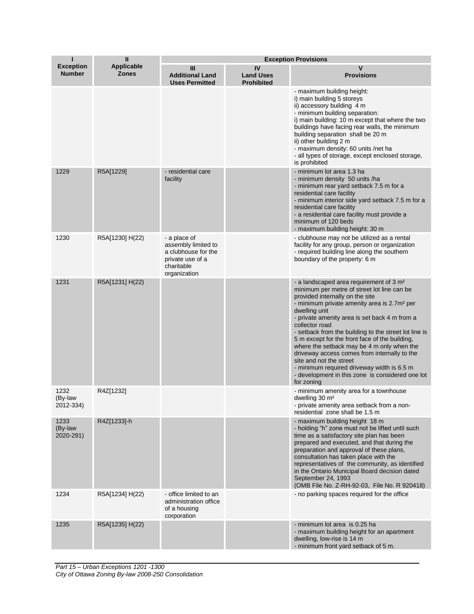| П                                 | $\mathbf{I}$                      | <b>Exception Provisions</b>                                                                                  |                                             |                                                                                                                                                                                                                                                                                                                                                                                                                                                                                                                                                                                                                                          |
|-----------------------------------|-----------------------------------|--------------------------------------------------------------------------------------------------------------|---------------------------------------------|------------------------------------------------------------------------------------------------------------------------------------------------------------------------------------------------------------------------------------------------------------------------------------------------------------------------------------------------------------------------------------------------------------------------------------------------------------------------------------------------------------------------------------------------------------------------------------------------------------------------------------------|
| <b>Exception</b><br><b>Number</b> | <b>Applicable</b><br><b>Zones</b> | Ш<br><b>Additional Land</b><br><b>Uses Permitted</b>                                                         | IV<br><b>Land Uses</b><br><b>Prohibited</b> | v<br><b>Provisions</b>                                                                                                                                                                                                                                                                                                                                                                                                                                                                                                                                                                                                                   |
|                                   |                                   |                                                                                                              |                                             | - maximum building height:<br>i) main building 5 storeys<br>ii) accessory building 4 m<br>- minimum building separation:<br>i) main building: 10 m except that where the two<br>buildings have facing rear walls, the minimum<br>building separation shall be 20 m<br>ii) other building 2 m<br>- maximum density: 60 units /net ha<br>- all types of storage, except enclosed storage,<br>is prohibited                                                                                                                                                                                                                                 |
| 1229                              | R5A[1229]                         | - residential care<br>facility                                                                               |                                             | - minimum lot area 1.3 ha<br>- minimum density 50 units /ha<br>- minimum rear yard setback 7.5 m for a<br>residential care facility<br>- minimum interior side yard setback 7.5 m for a<br>residential care facility<br>- a residential care facility must provide a<br>minimum of 120 beds<br>- maximum building height: 30 m                                                                                                                                                                                                                                                                                                           |
| 1230                              | R5A[1230] H(22)                   | - a place of<br>assembly limited to<br>a clubhouse for the<br>private use of a<br>charitable<br>organization |                                             | - clubhouse may not be utilized as a rental<br>facility for any group, person or organization<br>- required building line along the southern<br>boundary of the property: 6 m                                                                                                                                                                                                                                                                                                                                                                                                                                                            |
| 1231                              | R5A[1231] H(22)                   |                                                                                                              |                                             | - a landscaped area requirement of 3 m <sup>2</sup><br>minimum per metre of street lot line can be<br>provided internally on the site<br>- minimum private amenity area is 2.7m <sup>2</sup> per<br>dwelling unit<br>- private amenity area is set back 4 m from a<br>collector road<br>- setback from the building to the street lot line is<br>5 m except for the front face of the building,<br>where the setback may be 4 m only when the<br>driveway access comes from internally to the<br>site and not the street<br>- minimum required driveway width is 6.5 m<br>- development in this zone is considered one lot<br>for zoning |
| 1232<br>(By-law<br>2012-334)      | R4Z[1232]                         |                                                                                                              |                                             | - minimum amenity area for a townhouse<br>dwelling 30 m <sup>2</sup><br>- private amenity area setback from a non-<br>residential zone shall be 1.5 m                                                                                                                                                                                                                                                                                                                                                                                                                                                                                    |
| 1233<br>(By-law<br>2020-291)      | R4Z[1233]-h                       |                                                                                                              |                                             | - maximum building height 18 m<br>- holding "h" zone must not be lifted until such<br>time as a satisfactory site plan has been<br>prepared and executed, and that during the<br>preparation and approval of these plans,<br>consultation has taken place with the<br>representatives of the community, as identified<br>in the Ontario Municipal Board decision dated<br>September 24, 1993<br>(OMB File No. Z-RH-92-03, File No. R 920418)                                                                                                                                                                                             |
| 1234                              | R5A[1234] H(22)                   | - office limited to an<br>administration office<br>of a housing<br>corporation                               |                                             | - no parking spaces required for the office                                                                                                                                                                                                                                                                                                                                                                                                                                                                                                                                                                                              |
| 1235                              | R5A[1235] H(22)                   |                                                                                                              |                                             | - minimum lot area is 0.25 ha<br>- maximum building height for an apartment<br>dwelling, low-rise is 14 m<br>- minimum front yard setback of 5 m.                                                                                                                                                                                                                                                                                                                                                                                                                                                                                        |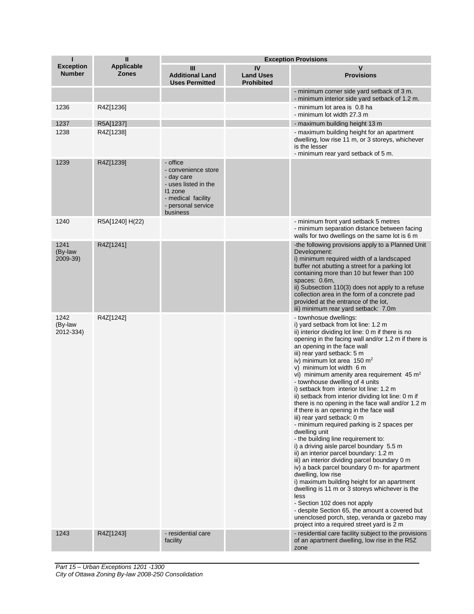| п                                 | Ш                          | <b>Exception Provisions</b>                                                                                                              |                                             |                                                                                                                                                                                                                                                                                                                                                                                                                                                                                                                                                                                                                                                                                                                                                                                                                                                                                                                                                                                                                                                                                                                                                                                                                                                    |
|-----------------------------------|----------------------------|------------------------------------------------------------------------------------------------------------------------------------------|---------------------------------------------|----------------------------------------------------------------------------------------------------------------------------------------------------------------------------------------------------------------------------------------------------------------------------------------------------------------------------------------------------------------------------------------------------------------------------------------------------------------------------------------------------------------------------------------------------------------------------------------------------------------------------------------------------------------------------------------------------------------------------------------------------------------------------------------------------------------------------------------------------------------------------------------------------------------------------------------------------------------------------------------------------------------------------------------------------------------------------------------------------------------------------------------------------------------------------------------------------------------------------------------------------|
| <b>Exception</b><br><b>Number</b> | <b>Applicable</b><br>Zones | Ш<br><b>Additional Land</b><br><b>Uses Permitted</b>                                                                                     | IV<br><b>Land Uses</b><br><b>Prohibited</b> | v<br><b>Provisions</b>                                                                                                                                                                                                                                                                                                                                                                                                                                                                                                                                                                                                                                                                                                                                                                                                                                                                                                                                                                                                                                                                                                                                                                                                                             |
|                                   |                            |                                                                                                                                          |                                             | - minimum corner side yard setback of 3 m.<br>- minimum interior side yard setback of 1.2 m.                                                                                                                                                                                                                                                                                                                                                                                                                                                                                                                                                                                                                                                                                                                                                                                                                                                                                                                                                                                                                                                                                                                                                       |
| 1236                              | R4Z[1236]                  |                                                                                                                                          |                                             | - minimum lot area is 0.8 ha<br>- minimum lot width 27.3 m                                                                                                                                                                                                                                                                                                                                                                                                                                                                                                                                                                                                                                                                                                                                                                                                                                                                                                                                                                                                                                                                                                                                                                                         |
| 1237                              | R5A[1237]                  |                                                                                                                                          |                                             | - maximum building height 13 m                                                                                                                                                                                                                                                                                                                                                                                                                                                                                                                                                                                                                                                                                                                                                                                                                                                                                                                                                                                                                                                                                                                                                                                                                     |
| 1238                              | R4Z[1238]                  |                                                                                                                                          |                                             | - maximum building height for an apartment<br>dwelling, low rise 11 m, or 3 storeys, whichever<br>is the lesser<br>- minimum rear yard setback of 5 m.                                                                                                                                                                                                                                                                                                                                                                                                                                                                                                                                                                                                                                                                                                                                                                                                                                                                                                                                                                                                                                                                                             |
| 1239                              | R4Z[1239]                  | - office<br>- convenience store<br>- day care<br>- uses listed in the<br>11 zone<br>- medical facility<br>- personal service<br>business |                                             |                                                                                                                                                                                                                                                                                                                                                                                                                                                                                                                                                                                                                                                                                                                                                                                                                                                                                                                                                                                                                                                                                                                                                                                                                                                    |
| 1240                              | R5A[1240] H(22)            |                                                                                                                                          |                                             | - minimum front yard setback 5 metres<br>- minimum separation distance between facing<br>walls for two dwellings on the same lot is 6 m                                                                                                                                                                                                                                                                                                                                                                                                                                                                                                                                                                                                                                                                                                                                                                                                                                                                                                                                                                                                                                                                                                            |
| 1241<br>(By-law<br>2009-39)       | R4Z[1241]                  |                                                                                                                                          |                                             | -the following provisions apply to a Planned Unit<br>Development:<br>i) minimum required width of a landscaped<br>buffer not abutting a street for a parking lot<br>containing more than 10 but fewer than 100<br>spaces: 0.6m,<br>ii) Subsection 110(3) does not apply to a refuse<br>collection area in the form of a concrete pad<br>provided at the entrance of the lot,<br>iii) minimum rear yard setback: 7.0m                                                                                                                                                                                                                                                                                                                                                                                                                                                                                                                                                                                                                                                                                                                                                                                                                               |
| 1242<br>(By-law<br>2012-334)      | R4Z[1242]                  |                                                                                                                                          |                                             | - townhosue dwellings:<br>i) yard setback from lot line: 1.2 m<br>ii) interior dividing lot line: 0 m if there is no<br>opening in the facing wall and/or 1.2 m if there is<br>an opening in the face wall<br>iii) rear yard setback: 5 m<br>iv) minimum lot area 150 $m2$<br>v) minimum lot width 6 m<br>vi) minimum amenity area requirement $45 \text{ m}^2$<br>- townhouse dwelling of 4 units<br>i) setback from interior lot line: 1.2 m<br>ii) setback from interior dividing lot line: 0 m if<br>there is no opening in the face wall and/or 1.2 m<br>if there is an opening in the face wall<br>iii) rear yard setback: 0 m<br>- minimum required parking is 2 spaces per<br>dwelling unit<br>- the building line requirement to:<br>i) a driving aisle parcel boundary 5.5 m<br>ii) an interior parcel boundary: 1.2 m<br>iii) an interior dividing parcel boundary 0 m<br>iv) a back parcel boundary 0 m- for apartment<br>dwelling, low rise<br>i) maximum building height for an apartment<br>dwelling is 11 m or 3 storeys whichever is the<br>less<br>- Section 102 does not apply<br>- despite Section 65, the amount a covered but<br>unenclosed porch, step, veranda or gazebo may<br>project into a required street yard is 2 m |
| 1243                              | R4Z[1243]                  | - residential care<br>facility                                                                                                           |                                             | - residential care facility subject to the provisions<br>of an apartment dwelling, low rise in the R5Z<br>zone                                                                                                                                                                                                                                                                                                                                                                                                                                                                                                                                                                                                                                                                                                                                                                                                                                                                                                                                                                                                                                                                                                                                     |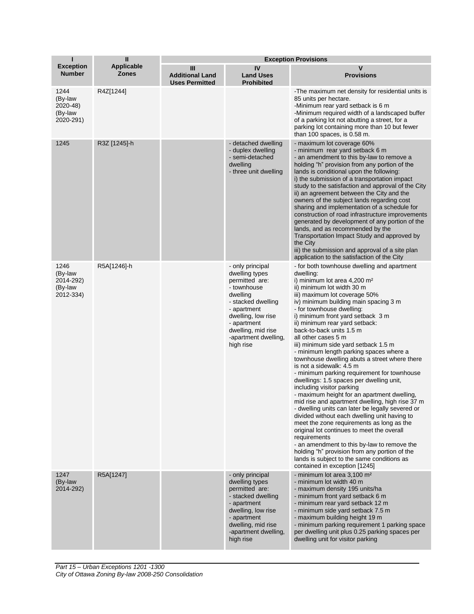| п                                                    | Ш                                 | <b>Exception Provisions</b>                          |                                                                                                                                                                                                                      |                                                                                                                                                                                                                                                                                                                                                                                                                                                                                                                                                                                                                                                                                                                                                                                                                                                                                                                                                                                                                                                                                                                                                             |  |
|------------------------------------------------------|-----------------------------------|------------------------------------------------------|----------------------------------------------------------------------------------------------------------------------------------------------------------------------------------------------------------------------|-------------------------------------------------------------------------------------------------------------------------------------------------------------------------------------------------------------------------------------------------------------------------------------------------------------------------------------------------------------------------------------------------------------------------------------------------------------------------------------------------------------------------------------------------------------------------------------------------------------------------------------------------------------------------------------------------------------------------------------------------------------------------------------------------------------------------------------------------------------------------------------------------------------------------------------------------------------------------------------------------------------------------------------------------------------------------------------------------------------------------------------------------------------|--|
| <b>Exception</b><br><b>Number</b>                    | <b>Applicable</b><br><b>Zones</b> | Ш<br><b>Additional Land</b><br><b>Uses Permitted</b> | IV<br><b>Land Uses</b><br><b>Prohibited</b>                                                                                                                                                                          | v<br><b>Provisions</b>                                                                                                                                                                                                                                                                                                                                                                                                                                                                                                                                                                                                                                                                                                                                                                                                                                                                                                                                                                                                                                                                                                                                      |  |
| 1244<br>(By-law<br>2020-48)<br>(By-law<br>2020-291)  | R4Z[1244]                         |                                                      |                                                                                                                                                                                                                      | -The maximum net density for residential units is<br>85 units per hectare.<br>-Minimum rear yard setback is 6 m<br>-Minimum required width of a landscaped buffer<br>of a parking lot not abutting a street, for a<br>parking lot containing more than 10 but fewer<br>than 100 spaces, is 0.58 m.                                                                                                                                                                                                                                                                                                                                                                                                                                                                                                                                                                                                                                                                                                                                                                                                                                                          |  |
| 1245                                                 | R3Z [1245]-h                      |                                                      | - detached dwelling<br>- duplex dwelling<br>- semi-detached<br>dwelling<br>- three unit dwelling                                                                                                                     | - maximum lot coverage 60%<br>- minimum rear yard setback 6 m<br>- an amendment to this by-law to remove a<br>holding "h" provision from any portion of the<br>lands is conditional upon the following:<br>i) the submission of a transportation impact<br>study to the satisfaction and approval of the City<br>ii) an agreement between the City and the<br>owners of the subject lands regarding cost<br>sharing and implementation of a schedule for<br>construction of road infrastructure improvements<br>generated by development of any portion of the<br>lands, and as recommended by the<br>Transportation Impact Study and approved by<br>the City<br>iii) the submission and approval of a site plan<br>application to the satisfaction of the City                                                                                                                                                                                                                                                                                                                                                                                             |  |
| 1246<br>(By-law<br>2014-292)<br>(By-law<br>2012-334) | R5A[1246]-h                       |                                                      | - only principal<br>dwelling types<br>permitted are:<br>- townhouse<br>dwelling<br>- stacked dwelling<br>- apartment<br>dwelling, low rise<br>- apartment<br>dwelling, mid rise<br>-apartment dwelling,<br>high rise | - for both townhouse dwelling and apartment<br>dwelling:<br>i) minimum lot area 4,200 m <sup>2</sup><br>ii) minimum lot width 30 m<br>iii) maximum lot coverage 50%<br>iv) minimum building main spacing 3 m<br>- for townhouse dwelling:<br>i) minimum front yard setback 3 m<br>ii) minimum rear yard setback:<br>back-to-back units 1.5 m<br>all other cases 5 m<br>iii) minimum side yard setback 1.5 m<br>- minimum length parking spaces where a<br>townhouse dwelling abuts a street where there<br>is not a sidewalk: 4.5 m<br>- minimum parking requirement for townhouse<br>dwellings: 1.5 spaces per dwelling unit,<br>including visitor parking<br>- maximum height for an apartment dwelling,<br>mid rise and apartment dwelling, high rise 37 m<br>- dwelling units can later be legally severed or<br>divided without each dwelling unit having to<br>meet the zone requirements as long as the<br>original lot continues to meet the overall<br>requirements<br>- an amendment to this by-law to remove the<br>holding "h" provision from any portion of the<br>lands is subject to the same conditions as<br>contained in exception [1245] |  |
| 1247<br>(By-law<br>2014-292)                         | R5A[1247]                         |                                                      | - only principal<br>dwelling types<br>permitted are:<br>- stacked dwelling<br>- apartment<br>dwelling, low rise<br>- apartment<br>dwelling, mid rise<br>-apartment dwelling,<br>high rise                            | - minimum lot area 3,100 m <sup>2</sup><br>- minimum lot width 40 m<br>- maximum density 195 units/ha<br>- minimum front yard setback 6 m<br>- minimum rear yard setback 12 m<br>- minimum side yard setback 7.5 m<br>- maximum building height 19 m<br>- minimum parking requirement 1 parking space<br>per dwelling unit plus 0.25 parking spaces per<br>dwelling unit for visitor parking                                                                                                                                                                                                                                                                                                                                                                                                                                                                                                                                                                                                                                                                                                                                                                |  |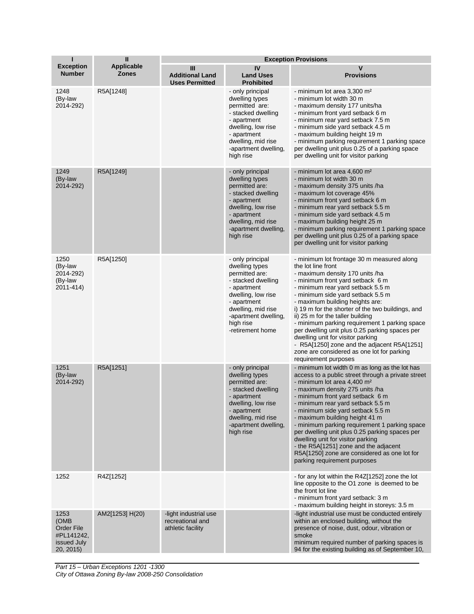| Т                                                                    | $\mathbf{I}$               | <b>Exception Provisions</b>                                    |                                                                                                                                                                                                               |                                                                                                                                                                                                                                                                                                                                                                                                                                                                                                                                                                                                            |  |
|----------------------------------------------------------------------|----------------------------|----------------------------------------------------------------|---------------------------------------------------------------------------------------------------------------------------------------------------------------------------------------------------------------|------------------------------------------------------------------------------------------------------------------------------------------------------------------------------------------------------------------------------------------------------------------------------------------------------------------------------------------------------------------------------------------------------------------------------------------------------------------------------------------------------------------------------------------------------------------------------------------------------------|--|
| <b>Exception</b><br><b>Number</b>                                    | Applicable<br><b>Zones</b> | Ш<br><b>Additional Land</b><br><b>Uses Permitted</b>           | IV<br><b>Land Uses</b><br><b>Prohibited</b>                                                                                                                                                                   | $\mathsf{v}$<br><b>Provisions</b>                                                                                                                                                                                                                                                                                                                                                                                                                                                                                                                                                                          |  |
| 1248<br>(By-law<br>2014-292)                                         | R5A[1248]                  |                                                                | - only principal<br>dwelling types<br>permitted are:<br>- stacked dwelling<br>- apartment<br>dwelling, low rise<br>- apartment<br>dwelling, mid rise<br>-apartment dwelling,<br>high rise                     | - minimum lot area 3,300 m <sup>2</sup><br>- minimum lot width 30 m<br>- maximum density 177 units/ha<br>- minimum front yard setback 6 m<br>- minimum rear yard setback 7.5 m<br>- minimum side yard setback 4.5 m<br>- maximum building height 19 m<br>- minimum parking requirement 1 parking space<br>per dwelling unit plus 0.25 of a parking space<br>per dwelling unit for visitor parking                                                                                                                                                                                                          |  |
| 1249<br>(By-law<br>2014-292)                                         | R5A[1249]                  |                                                                | - only principal<br>dwelling types<br>permitted are:<br>- stacked dwelling<br>- apartment<br>dwelling, low rise<br>- apartment<br>dwelling, mid rise<br>-apartment dwelling,<br>high rise                     | - minimum lot area 4,600 m <sup>2</sup><br>- minimum lot width 30 m<br>- maximum density 375 units /ha<br>- maximum lot coverage 45%<br>- minimum front yard setback 6 m<br>- minimum rear yard setback 5.5 m<br>- minimum side yard setback 4.5 m<br>- maximum building height 25 m<br>- minimum parking requirement 1 parking space<br>per dwelling unit plus 0.25 of a parking space<br>per dwelling unit for visitor parking                                                                                                                                                                           |  |
| 1250<br>(By-law<br>2014-292)<br>(By-law<br>2011-414)                 | R5A[1250]                  |                                                                | - only principal<br>dwelling types<br>permitted are:<br>- stacked dwelling<br>- apartment<br>dwelling, low rise<br>- apartment<br>dwelling, mid rise<br>-apartment dwelling,<br>high rise<br>-retirement home | - minimum lot frontage 30 m measured along<br>the lot line front<br>- maximum density 170 units /ha<br>- minimum front yard setback 6 m<br>- minimum rear yard setback 5.5 m<br>- minimum side yard setback 5.5 m<br>- maximum building heights are:<br>i) 19 m for the shorter of the two buildings, and<br>ii) 25 m for the taller building<br>- minimum parking requirement 1 parking space<br>per dwelling unit plus 0.25 parking spaces per<br>dwelling unit for visitor parking<br>- R5A[1250] zone and the adjacent R5A[1251]<br>zone are considered as one lot for parking<br>requirement purposes |  |
| 1251<br>(By-law<br>2014-292)                                         | R5A[1251]                  |                                                                | - only principal<br>dwelling types<br>permitted are:<br>- stacked dwelling<br>- apartment<br>dwelling, low rise<br>- apartment<br>dwelling, mid rise<br>-apartment dwelling,<br>high rise                     | - minimum lot width 0 m as long as the lot has<br>access to a public street through a private street<br>- minimum lot area 4,400 m <sup>2</sup><br>- maximum density 275 units /ha<br>- minimum front yard setback 6 m<br>- minimum rear yard setback 5.5 m<br>- minimum side yard setback 5.5 m<br>- maximum building height 41 m<br>- minimum parking requirement 1 parking space<br>per dwelling unit plus 0.25 parking spaces per<br>dwelling unit for visitor parking<br>- the R5A[1251] zone and the adjacent<br>R5A[1250] zone are considered as one lot for<br>parking requirement purposes        |  |
| 1252                                                                 | R4Z[1252]                  |                                                                |                                                                                                                                                                                                               | - for any lot within the R4Z[1252] zone the lot<br>line opposite to the O1 zone is deemed to be<br>the front lot line<br>- minimum front yard setback: 3 m<br>- maximum building height in storeys: 3.5 m                                                                                                                                                                                                                                                                                                                                                                                                  |  |
| 1253<br>(OMB<br>Order File<br>#PL141242,<br>issued July<br>20, 2015) | AM2[1253] H(20)            | -light industrial use<br>recreational and<br>athletic facility |                                                                                                                                                                                                               | -light industrial use must be conducted entirely<br>within an enclosed building, without the<br>presence of noise, dust, odour, vibration or<br>smoke<br>minimum required number of parking spaces is<br>94 for the existing building as of September 10,                                                                                                                                                                                                                                                                                                                                                  |  |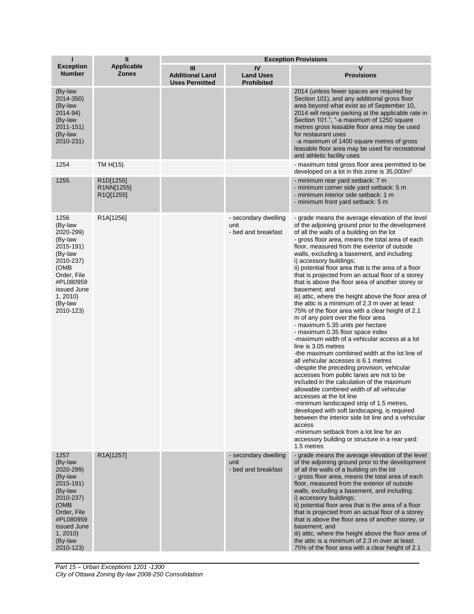| п                                                                                                                                                                  | Ш                                                              | <b>Exception Provisions</b>                          |                                                     |                                                                                                                                                                                                                                                                                                                                                                                                                                                                                                                                                                                                                                                                                                                                                                                                                                                                                                                                                                                                                                                                                                                                                                                                                                                                                                                                                                                                                                                            |  |
|--------------------------------------------------------------------------------------------------------------------------------------------------------------------|----------------------------------------------------------------|------------------------------------------------------|-----------------------------------------------------|------------------------------------------------------------------------------------------------------------------------------------------------------------------------------------------------------------------------------------------------------------------------------------------------------------------------------------------------------------------------------------------------------------------------------------------------------------------------------------------------------------------------------------------------------------------------------------------------------------------------------------------------------------------------------------------------------------------------------------------------------------------------------------------------------------------------------------------------------------------------------------------------------------------------------------------------------------------------------------------------------------------------------------------------------------------------------------------------------------------------------------------------------------------------------------------------------------------------------------------------------------------------------------------------------------------------------------------------------------------------------------------------------------------------------------------------------------|--|
| <b>Exception</b><br><b>Number</b>                                                                                                                                  | <b>Applicable</b><br><b>Zones</b>                              | Ш<br><b>Additional Land</b><br><b>Uses Permitted</b> | IV<br><b>Land Uses</b><br><b>Prohibited</b>         | v<br><b>Provisions</b>                                                                                                                                                                                                                                                                                                                                                                                                                                                                                                                                                                                                                                                                                                                                                                                                                                                                                                                                                                                                                                                                                                                                                                                                                                                                                                                                                                                                                                     |  |
| (By-law<br>2014-350)<br>(By-law<br>2014-94)<br>(By-law<br>2011-151)<br>(By-law<br>2010-231)                                                                        |                                                                |                                                      |                                                     | 2014 (unless fewer spaces are required by<br>Section 101), and any additional gross floor<br>area beyond what exist as of September 10,<br>2014 will require parking at the applicable rate in<br>Section 101.", "-a maximum of 1250 square<br>metres gross leasable floor area may be used<br>for restaurant uses<br>-a maximum of 1400 square metres of gross<br>leasable floor area may be used for recreational<br>and athletic facility uses                                                                                                                                                                                                                                                                                                                                                                                                                                                                                                                                                                                                                                                                                                                                                                                                                                                                                                                                                                                                          |  |
| 1254                                                                                                                                                               | TM H(15)                                                       |                                                      |                                                     | - maximum total gross floor area permitted to be<br>developed on a lot in this zone is $35,000m^2$                                                                                                                                                                                                                                                                                                                                                                                                                                                                                                                                                                                                                                                                                                                                                                                                                                                                                                                                                                                                                                                                                                                                                                                                                                                                                                                                                         |  |
| 1255                                                                                                                                                               | R <sub>1</sub> D[1255]<br>R1NN[1255]<br>R <sub>1</sub> Q[1255] |                                                      |                                                     | - minimum rear yard setback: 7 m<br>- minimum corner side yard setback: 5 m<br>- minimum interior side setback: 1 m<br>- minimum front yard setback: 5 m                                                                                                                                                                                                                                                                                                                                                                                                                                                                                                                                                                                                                                                                                                                                                                                                                                                                                                                                                                                                                                                                                                                                                                                                                                                                                                   |  |
| 1256<br>(By-law<br>2020-299)<br>(By-law<br>2015-191)<br>(By-law<br>2010-237)<br>(OMB<br>Order, File<br>#PL080959<br>issued June<br>1, 2010<br>(By-law<br>2010-123) | R <sub>1</sub> A[1256]                                         |                                                      | - secondary dwelling<br>unit<br>- bed and breakfast | - grade means the average elevation of the level<br>of the adjoining ground prior to the development<br>of all the walls of a building on the lot<br>- gross floor area, means the total area of each<br>floor, measured from the exterior of outside<br>walls, excluding a basement, and including:<br>i) accessory buildings;<br>ii) potential floor area that is the area of a floor<br>that is projected from an actual floor of a storey<br>that is above the floor area of another storey or<br>basement; and<br>iii) attic, where the height above the floor area of<br>the attic is a minimum of 2.3 m over at least<br>75% of the floor area with a clear height of 2.1<br>m of any point over the floor area<br>- maximum 5.35 units per hectare<br>- maximum 0.35 floor space index<br>-maximum width of a vehicular access at a lot<br>line is 3.05 metres<br>-the maximum combined width at the lot line of<br>all vehicular accesses is 6.1 metres<br>-despite the preceding provision, vehicular<br>accesses from public lanes are not to be<br>included in the calculation of the maximum<br>allowable combined width of all vehicular<br>accesses at the lot line<br>-minimum landscaped strip of 1.5 metres,<br>developed with soft landscaping, is required<br>between the interior side lot line and a vehicular<br>access<br>-minimum setback from a lot line for an<br>accessory building or structure in a rear yard:<br>1.5 metres |  |
| 1257<br>(By-law<br>2020-299)<br>(By-law<br>2015-191)<br>(By-law<br>2010-237)<br>(OMB<br>Order, File<br>#PL080959<br>issued June<br>1, 2010<br>(By-law<br>2010-123) | R1A[1257]                                                      |                                                      | - secondary dwelling<br>unit<br>- bed and breakfast | - grade means the average elevation of the level<br>of the adjoining ground prior to the development<br>of all the walls of a building on the lot<br>- gross floor area, means the total area of each<br>floor, measured from the exterior of outside<br>walls, excluding a basement, and including:<br>i) accessory buildings;<br>ii) potential floor area that is the area of a floor<br>that is projected from an actual floor of a storey<br>that is above the floor area of another storey, or<br>basement; and<br>iii) attic, where the height above the floor area of<br>the attic is a minimum of 2.3 m over at least<br>75% of the floor area with a clear height of 2.1                                                                                                                                                                                                                                                                                                                                                                                                                                                                                                                                                                                                                                                                                                                                                                          |  |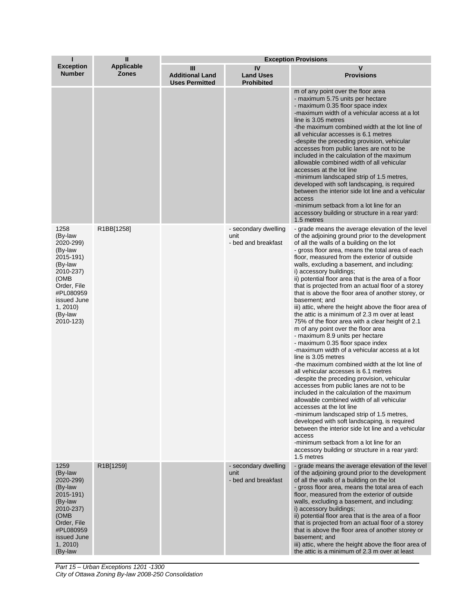| T                                                                                                                                                                  | $\mathbf{I}$                      | <b>Exception Provisions</b>                          |                                                     |                                                                                                                                                                                                                                                                                                                                                                                                                                                                                                                                                                                                                                                                                                                                                                                                                                                                                                                                                                                                                                                                                                                                                                                                                                                                                                                                                                                                                                                            |  |
|--------------------------------------------------------------------------------------------------------------------------------------------------------------------|-----------------------------------|------------------------------------------------------|-----------------------------------------------------|------------------------------------------------------------------------------------------------------------------------------------------------------------------------------------------------------------------------------------------------------------------------------------------------------------------------------------------------------------------------------------------------------------------------------------------------------------------------------------------------------------------------------------------------------------------------------------------------------------------------------------------------------------------------------------------------------------------------------------------------------------------------------------------------------------------------------------------------------------------------------------------------------------------------------------------------------------------------------------------------------------------------------------------------------------------------------------------------------------------------------------------------------------------------------------------------------------------------------------------------------------------------------------------------------------------------------------------------------------------------------------------------------------------------------------------------------------|--|
| <b>Exception</b><br><b>Number</b>                                                                                                                                  | <b>Applicable</b><br><b>Zones</b> | Ш<br><b>Additional Land</b><br><b>Uses Permitted</b> | IV<br><b>Land Uses</b><br><b>Prohibited</b>         | v<br><b>Provisions</b>                                                                                                                                                                                                                                                                                                                                                                                                                                                                                                                                                                                                                                                                                                                                                                                                                                                                                                                                                                                                                                                                                                                                                                                                                                                                                                                                                                                                                                     |  |
|                                                                                                                                                                    |                                   |                                                      |                                                     | m of any point over the floor area<br>- maximum 5.75 units per hectare<br>- maximum 0.35 floor space index<br>-maximum width of a vehicular access at a lot<br>line is 3.05 metres<br>-the maximum combined width at the lot line of<br>all vehicular accesses is 6.1 metres<br>-despite the preceding provision, vehicular<br>accesses from public lanes are not to be<br>included in the calculation of the maximum<br>allowable combined width of all vehicular<br>accesses at the lot line<br>-minimum landscaped strip of 1.5 metres,<br>developed with soft landscaping, is required<br>between the interior side lot line and a vehicular<br>access<br>-minimum setback from a lot line for an<br>accessory building or structure in a rear yard:<br>1.5 metres                                                                                                                                                                                                                                                                                                                                                                                                                                                                                                                                                                                                                                                                                     |  |
| 1258<br>(By-law<br>2020-299)<br>(By-law<br>2015-191)<br>(By-law<br>2010-237)<br>(OMB<br>Order, File<br>#PL080959<br>issued June<br>1, 2010<br>(By-law<br>2010-123) | R1BB[1258]                        |                                                      | - secondary dwelling<br>unit<br>- bed and breakfast | - grade means the average elevation of the level<br>of the adjoining ground prior to the development<br>of all the walls of a building on the lot<br>- gross floor area, means the total area of each<br>floor, measured from the exterior of outside<br>walls, excluding a basement, and including:<br>i) accessory buildings;<br>ii) potential floor area that is the area of a floor<br>that is projected from an actual floor of a storey<br>that is above the floor area of another storey, or<br>basement; and<br>iii) attic, where the height above the floor area of<br>the attic is a minimum of 2.3 m over at least<br>75% of the floor area with a clear height of 2.1<br>m of any point over the floor area<br>- maximum 8.9 units per hectare<br>- maximum 0.35 floor space index<br>-maximum width of a vehicular access at a lot<br>line is 3.05 metres<br>-the maximum combined width at the lot line of<br>all vehicular accesses is 6.1 metres<br>-despite the preceding provision, vehicular<br>accesses from public lanes are not to be<br>included in the calculation of the maximum<br>allowable combined width of all vehicular<br>accesses at the lot line<br>-minimum landscaped strip of 1.5 metres,<br>developed with soft landscaping, is required<br>between the interior side lot line and a vehicular<br>access<br>-minimum setback from a lot line for an<br>accessory building or structure in a rear yard:<br>1.5 metres |  |
| 1259<br>(By-law<br>2020-299)<br>(By-law<br>2015-191)<br>(By-law<br>2010-237)<br>(OMB<br>Order, File<br>#PL080959<br>issued June<br>1, 2010<br>(By-law              | R1B[1259]                         |                                                      | - secondary dwelling<br>unit<br>- bed and breakfast | - grade means the average elevation of the level<br>of the adjoining ground prior to the development<br>of all the walls of a building on the lot<br>- gross floor area, means the total area of each<br>floor, measured from the exterior of outside<br>walls, excluding a basement, and including:<br>i) accessory buildings;<br>ii) potential floor area that is the area of a floor<br>that is projected from an actual floor of a storey<br>that is above the floor area of another storey or<br>basement; and<br>iii) attic, where the height above the floor area of<br>the attic is a minimum of 2.3 m over at least                                                                                                                                                                                                                                                                                                                                                                                                                                                                                                                                                                                                                                                                                                                                                                                                                               |  |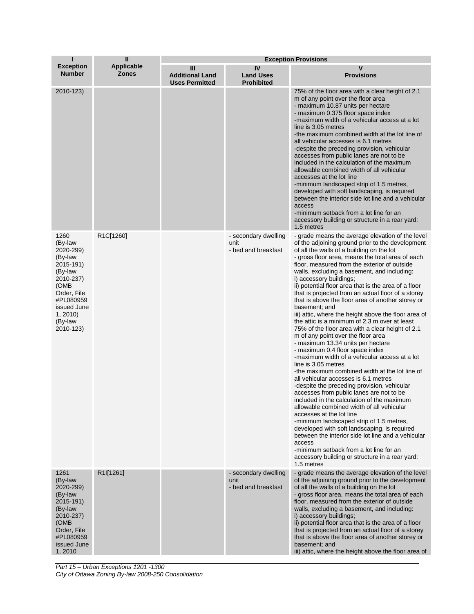| T                                                                                                                                                                  | $\mathbf{I}$                      | <b>Exception Provisions</b>                          |                                                     |                                                                                                                                                                                                                                                                                                                                                                                                                                                                                                                                                                                                                                                                                                                                                                                                                                                                                                                                                                                                                                                                                                                                                                                                                                                                                                                                                                                                                                                            |  |
|--------------------------------------------------------------------------------------------------------------------------------------------------------------------|-----------------------------------|------------------------------------------------------|-----------------------------------------------------|------------------------------------------------------------------------------------------------------------------------------------------------------------------------------------------------------------------------------------------------------------------------------------------------------------------------------------------------------------------------------------------------------------------------------------------------------------------------------------------------------------------------------------------------------------------------------------------------------------------------------------------------------------------------------------------------------------------------------------------------------------------------------------------------------------------------------------------------------------------------------------------------------------------------------------------------------------------------------------------------------------------------------------------------------------------------------------------------------------------------------------------------------------------------------------------------------------------------------------------------------------------------------------------------------------------------------------------------------------------------------------------------------------------------------------------------------------|--|
| <b>Exception</b><br><b>Number</b>                                                                                                                                  | <b>Applicable</b><br><b>Zones</b> | Ш<br><b>Additional Land</b><br><b>Uses Permitted</b> | IV<br><b>Land Uses</b><br><b>Prohibited</b>         | $\mathsf{v}$<br><b>Provisions</b>                                                                                                                                                                                                                                                                                                                                                                                                                                                                                                                                                                                                                                                                                                                                                                                                                                                                                                                                                                                                                                                                                                                                                                                                                                                                                                                                                                                                                          |  |
| 2010-123)                                                                                                                                                          |                                   |                                                      |                                                     | 75% of the floor area with a clear height of 2.1<br>m of any point over the floor area<br>- maximum 10.87 units per hectare<br>- maximum 0.375 floor space index<br>-maximum width of a vehicular access at a lot<br>line is 3.05 metres<br>-the maximum combined width at the lot line of<br>all vehicular accesses is 6.1 metres<br>-despite the preceding provision, vehicular<br>accesses from public lanes are not to be<br>included in the calculation of the maximum<br>allowable combined width of all vehicular<br>accesses at the lot line<br>-minimum landscaped strip of 1.5 metres,<br>developed with soft landscaping, is required<br>between the interior side lot line and a vehicular<br>access<br>-minimum setback from a lot line for an<br>accessory building or structure in a rear yard:<br>1.5 metres                                                                                                                                                                                                                                                                                                                                                                                                                                                                                                                                                                                                                               |  |
| 1260<br>(By-law<br>2020-299)<br>(By-law<br>2015-191)<br>(By-law<br>2010-237)<br>(OMB<br>Order, File<br>#PL080959<br>issued June<br>1, 2010<br>(By-law<br>2010-123) | R1C[1260]                         |                                                      | - secondary dwelling<br>unit<br>- bed and breakfast | - grade means the average elevation of the level<br>of the adjoining ground prior to the development<br>of all the walls of a building on the lot<br>- gross floor area, means the total area of each<br>floor, measured from the exterior of outside<br>walls, excluding a basement, and including:<br>i) accessory buildings;<br>ii) potential floor area that is the area of a floor<br>that is projected from an actual floor of a storey<br>that is above the floor area of another storey or<br>basement; and<br>iii) attic, where the height above the floor area of<br>the attic is a minimum of 2.3 m over at least<br>75% of the floor area with a clear height of 2.1<br>m of any point over the floor area<br>- maximum 13.34 units per hectare<br>- maximum 0.4 floor space index<br>-maximum width of a vehicular access at a lot<br>line is 3.05 metres<br>-the maximum combined width at the lot line of<br>all vehicular accesses is 6.1 metres<br>-despite the preceding provision, vehicular<br>accesses from public lanes are not to be<br>included in the calculation of the maximum<br>allowable combined width of all vehicular<br>accesses at the lot line<br>-minimum landscaped strip of 1.5 metres,<br>developed with soft landscaping, is required<br>between the interior side lot line and a vehicular<br>access<br>-minimum setback from a lot line for an<br>accessory building or structure in a rear yard:<br>1.5 metres |  |
| 1261<br>(By-law<br>2020-299)<br>(By-law<br>2015-191)<br>(By-law<br>2010-237)<br>(OMB<br>Order, File<br>#PL080959<br>issued June<br>1,2010                          | R1I[1261]                         |                                                      | - secondary dwelling<br>unit<br>- bed and breakfast | - grade means the average elevation of the level<br>of the adjoining ground prior to the development<br>of all the walls of a building on the lot<br>- gross floor area, means the total area of each<br>floor, measured from the exterior of outside<br>walls, excluding a basement, and including:<br>i) accessory buildings;<br>ii) potential floor area that is the area of a floor<br>that is projected from an actual floor of a storey<br>that is above the floor area of another storey or<br>basement; and<br>iii) attic, where the height above the floor area of                                                                                                                                                                                                                                                                                                                                                                                                                                                                                                                                                                                                                                                                                                                                                                                                                                                                                |  |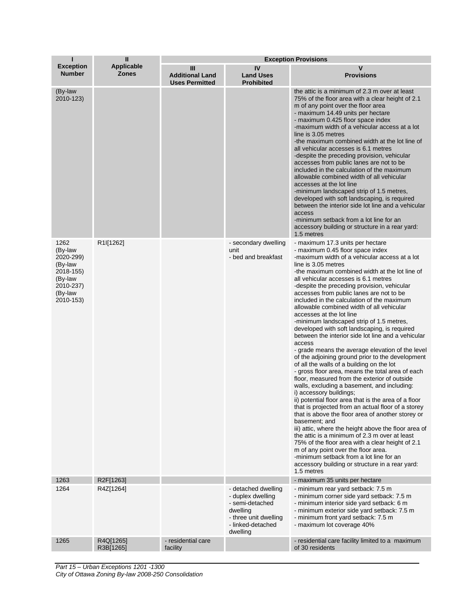| T                                                                                                    | $\mathbf{I}$                      | <b>Exception Provisions</b>                          |                                                                                                                                   |                                                                                                                                                                                                                                                                                                                                                                                                                                                                                                                                                                                                                                                                                                                                                                                                                                                                                                                                                                                                                                                                                                                                                                                                                                                                                                                                                                                                                                                             |  |
|------------------------------------------------------------------------------------------------------|-----------------------------------|------------------------------------------------------|-----------------------------------------------------------------------------------------------------------------------------------|-------------------------------------------------------------------------------------------------------------------------------------------------------------------------------------------------------------------------------------------------------------------------------------------------------------------------------------------------------------------------------------------------------------------------------------------------------------------------------------------------------------------------------------------------------------------------------------------------------------------------------------------------------------------------------------------------------------------------------------------------------------------------------------------------------------------------------------------------------------------------------------------------------------------------------------------------------------------------------------------------------------------------------------------------------------------------------------------------------------------------------------------------------------------------------------------------------------------------------------------------------------------------------------------------------------------------------------------------------------------------------------------------------------------------------------------------------------|--|
| <b>Exception</b><br><b>Number</b>                                                                    | <b>Applicable</b><br><b>Zones</b> | Ш<br><b>Additional Land</b><br><b>Uses Permitted</b> | IV<br><b>Land Uses</b><br><b>Prohibited</b>                                                                                       | $\mathsf{v}$<br><b>Provisions</b>                                                                                                                                                                                                                                                                                                                                                                                                                                                                                                                                                                                                                                                                                                                                                                                                                                                                                                                                                                                                                                                                                                                                                                                                                                                                                                                                                                                                                           |  |
| (By-law<br>2010-123)                                                                                 |                                   |                                                      |                                                                                                                                   | the attic is a minimum of 2.3 m over at least<br>75% of the floor area with a clear height of 2.1<br>m of any point over the floor area<br>- maximum 14.49 units per hectare<br>- maximum 0.425 floor space index<br>-maximum width of a vehicular access at a lot<br>line is 3.05 metres<br>-the maximum combined width at the lot line of<br>all vehicular accesses is 6.1 metres<br>-despite the preceding provision, vehicular<br>accesses from public lanes are not to be<br>included in the calculation of the maximum<br>allowable combined width of all vehicular<br>accesses at the lot line<br>-minimum landscaped strip of 1.5 metres,<br>developed with soft landscaping, is required<br>between the interior side lot line and a vehicular<br>access<br>-minimum setback from a lot line for an<br>accessory building or structure in a rear yard:<br>1.5 metres                                                                                                                                                                                                                                                                                                                                                                                                                                                                                                                                                                               |  |
| 1262<br>(By-law<br>2020-299)<br>(By-law<br>2018-155)<br>(By-law<br>2010-237)<br>(By-law<br>2010-153) | R <sub>1</sub> I[1262]            |                                                      | - secondary dwelling<br>unit<br>- bed and breakfast                                                                               | - maximum 17.3 units per hectare<br>- maximum 0.45 floor space index<br>-maximum width of a vehicular access at a lot<br>line is 3.05 metres<br>-the maximum combined width at the lot line of<br>all vehicular accesses is 6.1 metres<br>-despite the preceding provision, vehicular<br>accesses from public lanes are not to be<br>included in the calculation of the maximum<br>allowable combined width of all vehicular<br>accesses at the lot line<br>-minimum landscaped strip of 1.5 metres,<br>developed with soft landscaping, is required<br>between the interior side lot line and a vehicular<br>access<br>- grade means the average elevation of the level<br>of the adjoining ground prior to the development<br>of all the walls of a building on the lot<br>- gross floor area, means the total area of each<br>floor, measured from the exterior of outside<br>walls, excluding a basement, and including:<br>i) accessory buildings;<br>ii) potential floor area that is the area of a floor<br>that is projected from an actual floor of a storey<br>that is above the floor area of another storey or<br>basement: and<br>iii) attic, where the height above the floor area of<br>the attic is a minimum of 2.3 m over at least<br>75% of the floor area with a clear height of 2.1<br>m of any point over the floor area.<br>-minimum setback from a lot line for an<br>accessory building or structure in a rear yard:<br>1.5 metres |  |
| 1263                                                                                                 | R2F[1263]                         |                                                      |                                                                                                                                   | - maximum 35 units per hectare                                                                                                                                                                                                                                                                                                                                                                                                                                                                                                                                                                                                                                                                                                                                                                                                                                                                                                                                                                                                                                                                                                                                                                                                                                                                                                                                                                                                                              |  |
| 1264                                                                                                 | R4Z[1264]                         |                                                      | - detached dwelling<br>- duplex dwelling<br>- semi-detached<br>dwelling<br>- three unit dwelling<br>- linked-detached<br>dwelling | - minimum rear yard setback: 7.5 m<br>- minimum corner side yard setback: 7.5 m<br>- minimum interior side yard setback: 6 m<br>- minimum exterior side yard setback: 7.5 m<br>- minimum front yard setback: 7.5 m<br>- maximum lot coverage 40%                                                                                                                                                                                                                                                                                                                                                                                                                                                                                                                                                                                                                                                                                                                                                                                                                                                                                                                                                                                                                                                                                                                                                                                                            |  |
| 1265                                                                                                 | R4Q[1265]<br>R3B[1265]            | - residential care<br>facility                       |                                                                                                                                   | - residential care facility limited to a maximum<br>of 30 residents                                                                                                                                                                                                                                                                                                                                                                                                                                                                                                                                                                                                                                                                                                                                                                                                                                                                                                                                                                                                                                                                                                                                                                                                                                                                                                                                                                                         |  |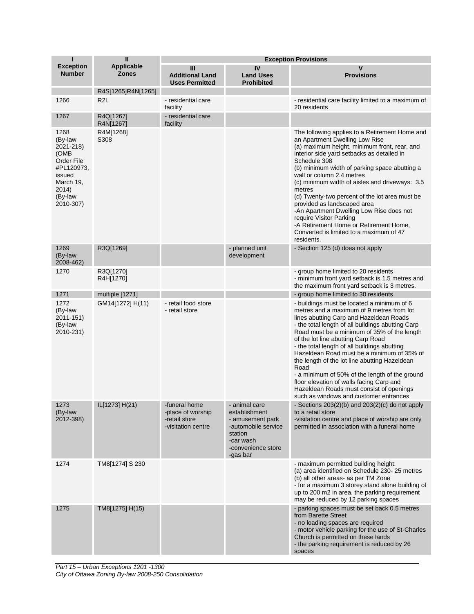| т                                                                                                                        | $\mathbf{H}$                      | <b>Exception Provisions</b>                                               |                                                                                                                                     |                                                                                                                                                                                                                                                                                                                                                                                                                                                                                                                                                                                                                         |  |
|--------------------------------------------------------------------------------------------------------------------------|-----------------------------------|---------------------------------------------------------------------------|-------------------------------------------------------------------------------------------------------------------------------------|-------------------------------------------------------------------------------------------------------------------------------------------------------------------------------------------------------------------------------------------------------------------------------------------------------------------------------------------------------------------------------------------------------------------------------------------------------------------------------------------------------------------------------------------------------------------------------------------------------------------------|--|
| <b>Exception</b><br><b>Number</b>                                                                                        | <b>Applicable</b><br><b>Zones</b> | Ш<br><b>Additional Land</b><br><b>Uses Permitted</b>                      | IV<br><b>Land Uses</b><br><b>Prohibited</b>                                                                                         | $\mathbf v$<br><b>Provisions</b>                                                                                                                                                                                                                                                                                                                                                                                                                                                                                                                                                                                        |  |
|                                                                                                                          | R4S[1265]R4N[1265]                |                                                                           |                                                                                                                                     |                                                                                                                                                                                                                                                                                                                                                                                                                                                                                                                                                                                                                         |  |
| 1266                                                                                                                     | R <sub>2</sub> L                  | - residential care<br>facility                                            |                                                                                                                                     | - residential care facility limited to a maximum of<br>20 residents                                                                                                                                                                                                                                                                                                                                                                                                                                                                                                                                                     |  |
| 1267                                                                                                                     | R4Q[1267]<br>R4N[1267]            | - residential care<br>facility                                            |                                                                                                                                     |                                                                                                                                                                                                                                                                                                                                                                                                                                                                                                                                                                                                                         |  |
| 1268<br>(By-law<br>2021-218)<br>(OMB<br>Order File<br>#PL120973,<br>issued<br>March 19,<br>2014)<br>(By-law<br>2010-307) | R4M[1268]<br>S308                 |                                                                           |                                                                                                                                     | The following applies to a Retirement Home and<br>an Apartment Dwelling Low Rise<br>(a) maximum height, minimum front, rear, and<br>interior side yard setbacks as detailed in<br>Schedule 308<br>(b) minimum width of parking space abutting a<br>wall or column 2.4 metres<br>(c) minimum width of aisles and driveways: 3.5<br>metres<br>(d) Twenty-two percent of the lot area must be<br>provided as landscaped area<br>-An Apartment Dwelling Low Rise does not<br>require Visitor Parking<br>-A Retirement Home or Retirement Home,<br>Converted is limited to a maximum of 47<br>residents.                     |  |
| 1269<br>(By-law<br>2008-462)                                                                                             | R3Q[1269]                         |                                                                           | - planned unit<br>development                                                                                                       | - Section 125 (d) does not apply                                                                                                                                                                                                                                                                                                                                                                                                                                                                                                                                                                                        |  |
| 1270                                                                                                                     | R3Q[1270]<br>R4H[1270]            |                                                                           |                                                                                                                                     | - group home limited to 20 residents<br>- minimum front yard setback is 1.5 metres and<br>the maximum front yard setback is 3 metres.                                                                                                                                                                                                                                                                                                                                                                                                                                                                                   |  |
| 1271                                                                                                                     | multiple [1271]                   |                                                                           |                                                                                                                                     | - group home limited to 30 residents                                                                                                                                                                                                                                                                                                                                                                                                                                                                                                                                                                                    |  |
| 1272<br>(By-law<br>2011-151)<br>(By-law<br>2010-231)                                                                     | GM14[1272] H(11)                  | - retail food store<br>- retail store                                     |                                                                                                                                     | - buildings must be located a minimum of 6<br>metres and a maximum of 9 metres from lot<br>lines abutting Carp and Hazeldean Roads<br>- the total length of all buildings abutting Carp<br>Road must be a minimum of 35% of the length<br>of the lot line abutting Carp Road<br>- the total length of all buildings abutting<br>Hazeldean Road must be a minimum of 35% of<br>the length of the lot line abutting Hazeldean<br>Road<br>- a minimum of 50% of the length of the ground<br>floor elevation of walls facing Carp and<br>Hazeldean Roads must consist of openings<br>such as windows and customer entrances |  |
| 1273<br>(By-law<br>2012-398)                                                                                             | IL[1273] H(21)                    | -funeral home<br>-place of worship<br>-retail store<br>-visitation centre | - animal care<br>establishment<br>- amusement park<br>-automobile service<br>station<br>-car wash<br>-convenience store<br>-gas bar | - Sections $203(2)(b)$ and $203(2)(c)$ do not apply<br>to a retail store<br>-visitation centre and place of worship are only<br>permitted in association with a funeral home                                                                                                                                                                                                                                                                                                                                                                                                                                            |  |
| 1274                                                                                                                     | TM8[1274] S 230                   |                                                                           |                                                                                                                                     | - maximum permitted building height:<br>(a) area identified on Schedule 230-25 metres<br>(b) all other areas- as per TM Zone<br>- for a maximum 3 storey stand alone building of<br>up to 200 m2 in area, the parking requirement<br>may be reduced by 12 parking spaces                                                                                                                                                                                                                                                                                                                                                |  |
| 1275                                                                                                                     | TM8[1275] H(15)                   |                                                                           |                                                                                                                                     | - parking spaces must be set back 0.5 metres<br>from Barette Street<br>- no loading spaces are required<br>- motor vehicle parking for the use of St-Charles<br>Church is permitted on these lands<br>- the parking requirement is reduced by 26<br>spaces                                                                                                                                                                                                                                                                                                                                                              |  |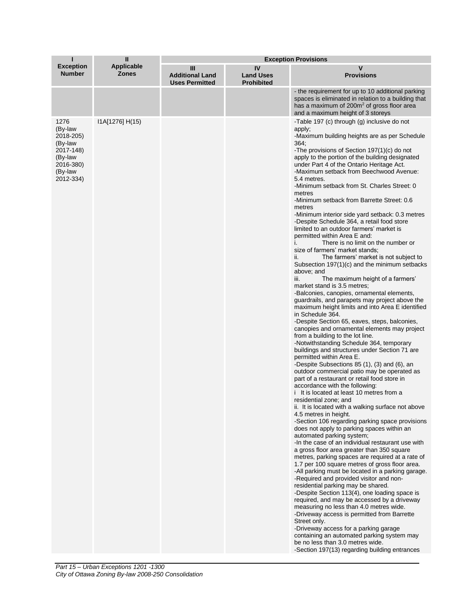|                                                                                                      | Ш                                 | <b>Exception Provisions</b>                          |                                             |                                                                                                                                                                                                                                                                                                                                                                                                                                                                                                                                                                                                                                                                                                                                                                                                                                                                                                                                                                                                                                                                                                                                                                                                                                                                                                                                                                                                                                                                                                                                                                                                                                                                                                                                                                                                                                                                                                                                                                                                                                                                                                                                                                                                                                                                                                                                                                                                                                                                                                                                               |  |
|------------------------------------------------------------------------------------------------------|-----------------------------------|------------------------------------------------------|---------------------------------------------|-----------------------------------------------------------------------------------------------------------------------------------------------------------------------------------------------------------------------------------------------------------------------------------------------------------------------------------------------------------------------------------------------------------------------------------------------------------------------------------------------------------------------------------------------------------------------------------------------------------------------------------------------------------------------------------------------------------------------------------------------------------------------------------------------------------------------------------------------------------------------------------------------------------------------------------------------------------------------------------------------------------------------------------------------------------------------------------------------------------------------------------------------------------------------------------------------------------------------------------------------------------------------------------------------------------------------------------------------------------------------------------------------------------------------------------------------------------------------------------------------------------------------------------------------------------------------------------------------------------------------------------------------------------------------------------------------------------------------------------------------------------------------------------------------------------------------------------------------------------------------------------------------------------------------------------------------------------------------------------------------------------------------------------------------------------------------------------------------------------------------------------------------------------------------------------------------------------------------------------------------------------------------------------------------------------------------------------------------------------------------------------------------------------------------------------------------------------------------------------------------------------------------------------------------|--|
| <b>Exception</b><br><b>Number</b>                                                                    | <b>Applicable</b><br><b>Zones</b> | Ш<br><b>Additional Land</b><br><b>Uses Permitted</b> | IV<br><b>Land Uses</b><br><b>Prohibited</b> | v<br><b>Provisions</b>                                                                                                                                                                                                                                                                                                                                                                                                                                                                                                                                                                                                                                                                                                                                                                                                                                                                                                                                                                                                                                                                                                                                                                                                                                                                                                                                                                                                                                                                                                                                                                                                                                                                                                                                                                                                                                                                                                                                                                                                                                                                                                                                                                                                                                                                                                                                                                                                                                                                                                                        |  |
|                                                                                                      |                                   |                                                      |                                             | - the requirement for up to 10 additional parking<br>spaces is eliminated in relation to a building that<br>has a maximum of 200m <sup>2</sup> of gross floor area<br>and a maximum height of 3 storeys                                                                                                                                                                                                                                                                                                                                                                                                                                                                                                                                                                                                                                                                                                                                                                                                                                                                                                                                                                                                                                                                                                                                                                                                                                                                                                                                                                                                                                                                                                                                                                                                                                                                                                                                                                                                                                                                                                                                                                                                                                                                                                                                                                                                                                                                                                                                       |  |
| 1276<br>(By-law<br>2018-205)<br>(By-law<br>2017-148)<br>(By-law<br>2016-380)<br>(By-law<br>2012-334) | I1A[1276] H(15)                   |                                                      |                                             | -Table 197 (c) through (g) inclusive do not<br>apply;<br>-Maximum building heights are as per Schedule<br>364:<br>-The provisions of Section 197(1)(c) do not<br>apply to the portion of the building designated<br>under Part 4 of the Ontario Heritage Act.<br>-Maximum setback from Beechwood Avenue:<br>5.4 metres.<br>-Minimum setback from St. Charles Street: 0<br>metres<br>-Minimum setback from Barrette Street: 0.6<br>metres<br>-Minimum interior side yard setback: 0.3 metres<br>-Despite Schedule 364, a retail food store<br>limited to an outdoor farmers' market is<br>permitted within Area E and:<br>There is no limit on the number or<br>i.<br>size of farmers' market stands;<br>The farmers' market is not subject to<br>ii.<br>Subsection 197(1)(c) and the minimum setbacks<br>above; and<br>The maximum height of a farmers'<br>iii.<br>market stand is 3.5 metres;<br>-Balconies, canopies, ornamental elements,<br>guardrails, and parapets may project above the<br>maximum height limits and into Area E identified<br>in Schedule 364.<br>-Despite Section 65, eaves, steps, balconies,<br>canopies and ornamental elements may project<br>from a building to the lot line.<br>-Notwithstanding Schedule 364, temporary<br>buildings and structures under Section 71 are<br>permitted within Area E.<br>-Despite Subsections 85 (1), (3) and (6), an<br>outdoor commercial patio may be operated as<br>part of a restaurant or retail food store in<br>accordance with the following:<br>i It is located at least 10 metres from a<br>residential zone; and<br>ii. It is located with a walking surface not above<br>4.5 metres in height.<br>-Section 106 regarding parking space provisions<br>does not apply to parking spaces within an<br>automated parking system;<br>-In the case of an individual restaurant use with<br>a gross floor area greater than 350 square<br>metres, parking spaces are required at a rate of<br>1.7 per 100 square metres of gross floor area.<br>-All parking must be located in a parking garage.<br>-Required and provided visitor and non-<br>residential parking may be shared.<br>-Despite Section 113(4), one loading space is<br>required, and may be accessed by a driveway<br>measuring no less than 4.0 metres wide.<br>-Driveway access is permitted from Barrette<br>Street only.<br>-Driveway access for a parking garage<br>containing an automated parking system may<br>be no less than 3.0 metres wide.<br>-Section 197(13) regarding building entrances |  |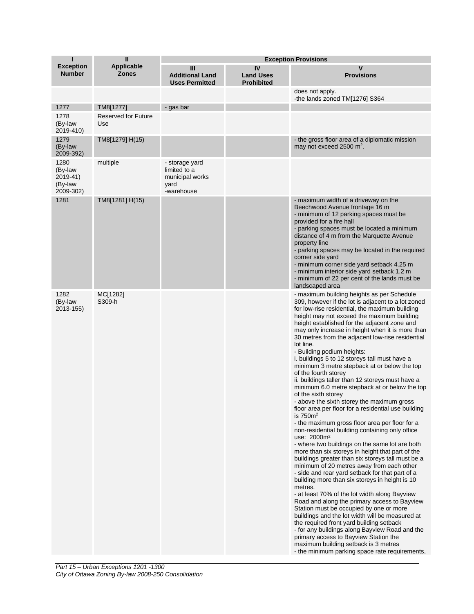| п                                                   | $\mathbf{u}$                      |                                                                         | <b>Exception Provisions</b>                 |                                                                                                                                                                                                                                                                                                                                                                                                                                                                                                                                                                                                                                                                                                                                                                                                                                                                                                                                                                                                                                                                                                                                                                                                                                                                                                                                                                                                                                                                                                                                                                                                                                                                      |  |  |
|-----------------------------------------------------|-----------------------------------|-------------------------------------------------------------------------|---------------------------------------------|----------------------------------------------------------------------------------------------------------------------------------------------------------------------------------------------------------------------------------------------------------------------------------------------------------------------------------------------------------------------------------------------------------------------------------------------------------------------------------------------------------------------------------------------------------------------------------------------------------------------------------------------------------------------------------------------------------------------------------------------------------------------------------------------------------------------------------------------------------------------------------------------------------------------------------------------------------------------------------------------------------------------------------------------------------------------------------------------------------------------------------------------------------------------------------------------------------------------------------------------------------------------------------------------------------------------------------------------------------------------------------------------------------------------------------------------------------------------------------------------------------------------------------------------------------------------------------------------------------------------------------------------------------------------|--|--|
| <b>Exception</b><br><b>Number</b>                   | Applicable<br><b>Zones</b>        | Ш<br><b>Additional Land</b><br><b>Uses Permitted</b>                    | IV<br><b>Land Uses</b><br><b>Prohibited</b> | v<br><b>Provisions</b>                                                                                                                                                                                                                                                                                                                                                                                                                                                                                                                                                                                                                                                                                                                                                                                                                                                                                                                                                                                                                                                                                                                                                                                                                                                                                                                                                                                                                                                                                                                                                                                                                                               |  |  |
|                                                     |                                   |                                                                         |                                             | does not apply.<br>-the lands zoned TM[1276] S364                                                                                                                                                                                                                                                                                                                                                                                                                                                                                                                                                                                                                                                                                                                                                                                                                                                                                                                                                                                                                                                                                                                                                                                                                                                                                                                                                                                                                                                                                                                                                                                                                    |  |  |
| 1277                                                | TM8[1277]                         | - gas bar                                                               |                                             |                                                                                                                                                                                                                                                                                                                                                                                                                                                                                                                                                                                                                                                                                                                                                                                                                                                                                                                                                                                                                                                                                                                                                                                                                                                                                                                                                                                                                                                                                                                                                                                                                                                                      |  |  |
| 1278<br>(By-law<br>2019-410)                        | <b>Reserved for Future</b><br>Use |                                                                         |                                             |                                                                                                                                                                                                                                                                                                                                                                                                                                                                                                                                                                                                                                                                                                                                                                                                                                                                                                                                                                                                                                                                                                                                                                                                                                                                                                                                                                                                                                                                                                                                                                                                                                                                      |  |  |
| 1279<br>(By-law<br>2009-392)                        | TM8[1279] H(15)                   |                                                                         |                                             | - the gross floor area of a diplomatic mission<br>may not exceed 2500 m <sup>2</sup> .                                                                                                                                                                                                                                                                                                                                                                                                                                                                                                                                                                                                                                                                                                                                                                                                                                                                                                                                                                                                                                                                                                                                                                                                                                                                                                                                                                                                                                                                                                                                                                               |  |  |
| 1280<br>(By-law<br>2019-41)<br>(By-law<br>2009-302) | multiple                          | - storage yard<br>limited to a<br>municipal works<br>yard<br>-warehouse |                                             |                                                                                                                                                                                                                                                                                                                                                                                                                                                                                                                                                                                                                                                                                                                                                                                                                                                                                                                                                                                                                                                                                                                                                                                                                                                                                                                                                                                                                                                                                                                                                                                                                                                                      |  |  |
| 1281                                                | TM8[1281] H(15)                   |                                                                         |                                             | - maximum width of a driveway on the<br>Beechwood Avenue frontage 16 m<br>- minimum of 12 parking spaces must be<br>provided for a fire hall<br>- parking spaces must be located a minimum<br>distance of 4 m from the Marquette Avenue<br>property line<br>- parking spaces may be located in the required<br>corner side yard<br>- minimum corner side yard setback 4.25 m<br>- minimum interior side yard setback 1.2 m<br>- minimum of 22 per cent of the lands must be<br>landscaped area                                                                                                                                                                                                                                                                                                                                                                                                                                                                                                                                                                                                                                                                                                                                                                                                                                                                                                                                                                                                                                                                                                                                                                       |  |  |
| 1282<br>(By-law<br>2013-155)                        | MC[1282]<br>S309-h                |                                                                         |                                             | - maximum building heights as per Schedule<br>309, however if the lot is adjacent to a lot zoned<br>for low-rise residential, the maximum building<br>height may not exceed the maximum building<br>height established for the adjacent zone and<br>may only increase in height when it is more than<br>30 metres from the adjacent low-rise residential<br>lot line.<br>- Building podium heights:<br>i. buildings 5 to 12 storeys tall must have a<br>minimum 3 metre stepback at or below the top<br>of the fourth storey<br>ii. buildings taller than 12 storeys must have a<br>minimum 6.0 metre stepback at or below the top<br>of the sixth storey<br>- above the sixth storey the maximum gross<br>floor area per floor for a residential use building<br>is $750m²$<br>- the maximum gross floor area per floor for a<br>non-residential building containing only office<br>use: 2000m <sup>2</sup><br>- where two buildings on the same lot are both<br>more than six storeys in height that part of the<br>buildings greater than six storeys tall must be a<br>minimum of 20 metres away from each other<br>- side and rear yard setback for that part of a<br>building more than six storeys in height is 10<br>metres.<br>- at least 70% of the lot width along Bayview<br>Road and along the primary access to Bayview<br>Station must be occupied by one or more<br>buildings and the lot width will be measured at<br>the required front yard building setback<br>- for any buildings along Bayview Road and the<br>primary access to Bayview Station the<br>maximum building setback is 3 metres<br>- the minimum parking space rate requirements, |  |  |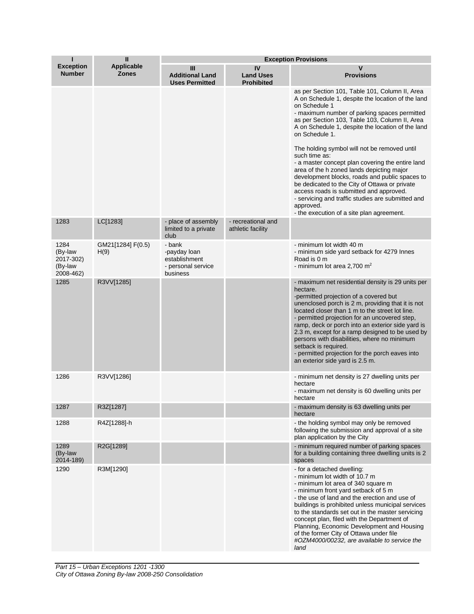|                                                      | $\mathbf{H}$                      | <b>Exception Provisions</b>                                               |                                             |                                                                                                                                                                                                                                                                                                                                                                                                                                                                                                                                                                                                                                                                                                                              |  |
|------------------------------------------------------|-----------------------------------|---------------------------------------------------------------------------|---------------------------------------------|------------------------------------------------------------------------------------------------------------------------------------------------------------------------------------------------------------------------------------------------------------------------------------------------------------------------------------------------------------------------------------------------------------------------------------------------------------------------------------------------------------------------------------------------------------------------------------------------------------------------------------------------------------------------------------------------------------------------------|--|
| <b>Exception</b><br><b>Number</b>                    | <b>Applicable</b><br><b>Zones</b> | Ш<br><b>Additional Land</b><br><b>Uses Permitted</b>                      | IV<br><b>Land Uses</b><br><b>Prohibited</b> | V<br><b>Provisions</b>                                                                                                                                                                                                                                                                                                                                                                                                                                                                                                                                                                                                                                                                                                       |  |
|                                                      |                                   |                                                                           |                                             | as per Section 101, Table 101, Column II, Area<br>A on Schedule 1, despite the location of the land<br>on Schedule 1<br>- maximum number of parking spaces permitted<br>as per Section 103, Table 103, Column II, Area<br>A on Schedule 1, despite the location of the land<br>on Schedule 1.<br>The holding symbol will not be removed until<br>such time as:<br>- a master concept plan covering the entire land<br>area of the h zoned lands depicting major<br>development blocks, roads and public spaces to<br>be dedicated to the City of Ottawa or private<br>access roads is submitted and approved.<br>- servicing and traffic studies are submitted and<br>approved.<br>- the execution of a site plan agreement. |  |
| 1283                                                 | LC[1283]                          | - place of assembly<br>limited to a private<br>club                       | - recreational and<br>athletic facility     |                                                                                                                                                                                                                                                                                                                                                                                                                                                                                                                                                                                                                                                                                                                              |  |
| 1284<br>(By-law<br>2017-302)<br>(By-law<br>2008-462) | GM21[1284] F(0.5)<br>H(9)         | - bank<br>-payday loan<br>establishment<br>- personal service<br>business |                                             | - minimum lot width 40 m<br>- minimum side yard setback for 4279 Innes<br>Road is 0 m<br>- minimum lot area 2,700 $m2$                                                                                                                                                                                                                                                                                                                                                                                                                                                                                                                                                                                                       |  |
| 1285                                                 | R3VV[1285]                        |                                                                           |                                             | - maximum net residential density is 29 units per<br>hectare.<br>-permitted projection of a covered but<br>unenclosed porch is 2 m, providing that it is not<br>located closer than 1 m to the street lot line.<br>- permitted projection for an uncovered step,<br>ramp, deck or porch into an exterior side yard is<br>2.3 m, except for a ramp designed to be used by<br>persons with disabilities, where no minimum<br>setback is required.<br>- permitted projection for the porch eaves into<br>an exterior side yard is 2.5 m.                                                                                                                                                                                        |  |
| 1286                                                 | R3VV[1286]                        |                                                                           |                                             | - minimum net density is 27 dwelling units per<br>hectare<br>- maximum net density is 60 dwelling units per<br>hectare                                                                                                                                                                                                                                                                                                                                                                                                                                                                                                                                                                                                       |  |
| 1287                                                 | R3Z[1287]                         |                                                                           |                                             | - maximum density is 63 dwelling units per<br>hectare                                                                                                                                                                                                                                                                                                                                                                                                                                                                                                                                                                                                                                                                        |  |
| 1288                                                 | R4Z[1288]-h                       |                                                                           |                                             | - the holding symbol may only be removed<br>following the submission and approval of a site<br>plan application by the City                                                                                                                                                                                                                                                                                                                                                                                                                                                                                                                                                                                                  |  |
| 1289<br>(By-law<br>2014-189)                         | R2G[1289]                         |                                                                           |                                             | - minimum required number of parking spaces<br>for a building containing three dwelling units is 2<br>spaces                                                                                                                                                                                                                                                                                                                                                                                                                                                                                                                                                                                                                 |  |
| 1290                                                 | R3M[1290]                         |                                                                           |                                             | - for a detached dwelling:<br>- minimum lot width of 10.7 m<br>- minimum lot area of 340 square m<br>- minimum front yard setback of 5 m<br>- the use of land and the erection and use of<br>buildings is prohibited unless municipal services<br>to the standards set out in the master servicing<br>concept plan, filed with the Department of<br>Planning, Economic Development and Housing<br>of the former City of Ottawa under file<br>#OZM4000/00232, are available to service the<br>land                                                                                                                                                                                                                            |  |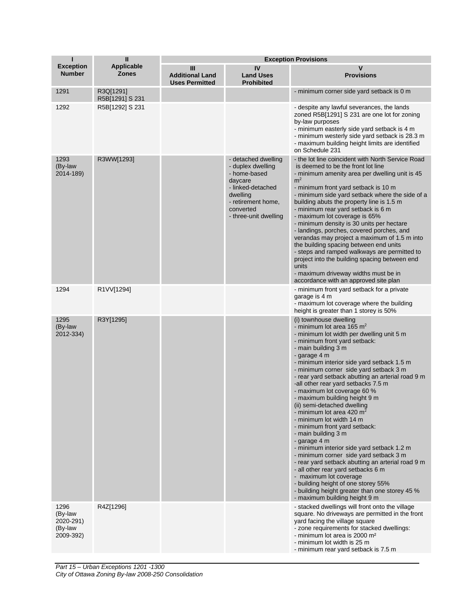| П                                                    | $\mathbf{I}$                      | <b>Exception Provisions</b>                          |                                                                                                                                                                  |                                                                                                                                                                                                                                                                                                                                                                                                                                                                                                                                                                                                                                                                                                                                                                                                                                                                                                                                         |  |
|------------------------------------------------------|-----------------------------------|------------------------------------------------------|------------------------------------------------------------------------------------------------------------------------------------------------------------------|-----------------------------------------------------------------------------------------------------------------------------------------------------------------------------------------------------------------------------------------------------------------------------------------------------------------------------------------------------------------------------------------------------------------------------------------------------------------------------------------------------------------------------------------------------------------------------------------------------------------------------------------------------------------------------------------------------------------------------------------------------------------------------------------------------------------------------------------------------------------------------------------------------------------------------------------|--|
| <b>Exception</b><br><b>Number</b>                    | <b>Applicable</b><br><b>Zones</b> | Ш<br><b>Additional Land</b><br><b>Uses Permitted</b> | IV<br><b>Land Uses</b><br><b>Prohibited</b>                                                                                                                      | v<br><b>Provisions</b>                                                                                                                                                                                                                                                                                                                                                                                                                                                                                                                                                                                                                                                                                                                                                                                                                                                                                                                  |  |
| 1291                                                 | R3Q[1291]<br>R5B[1291] S 231      |                                                      |                                                                                                                                                                  | - minimum corner side yard setback is 0 m                                                                                                                                                                                                                                                                                                                                                                                                                                                                                                                                                                                                                                                                                                                                                                                                                                                                                               |  |
| 1292                                                 | R5B[1292] S 231                   |                                                      |                                                                                                                                                                  | - despite any lawful severances, the lands<br>zoned R5B[1291] S 231 are one lot for zoning<br>by-law purposes<br>- minimum easterly side yard setback is 4 m<br>- minimum westerly side yard setback is 28.3 m<br>- maximum building height limits are identified<br>on Schedule 231                                                                                                                                                                                                                                                                                                                                                                                                                                                                                                                                                                                                                                                    |  |
| 1293<br>(By-law<br>2014-189)                         | R3WW[1293]                        |                                                      | - detached dwelling<br>- duplex dwelling<br>- home-based<br>daycare<br>- linked-detached<br>dwelling<br>- retirement home,<br>converted<br>- three-unit dwelling | - the lot line coincident with North Service Road<br>is deemed to be the front lot line<br>- minimum amenity area per dwelling unit is 45<br>m <sup>2</sup><br>- minimum front yard setback is 10 m<br>- minimum side yard setback where the side of a<br>building abuts the property line is 1.5 m<br>- minimum rear yard setback is 6 m<br>- maximum lot coverage is 65%<br>- minimum density is 30 units per hectare<br>- landings, porches, covered porches, and<br>verandas may project a maximum of 1.5 m into<br>the building spacing between end units<br>- steps and ramped walkways are permitted to<br>project into the building spacing between end<br>units<br>- maximum driveway widths must be in<br>accordance with an approved site plan                                                                                                                                                                               |  |
| 1294                                                 | R1VV[1294]                        |                                                      |                                                                                                                                                                  | - minimum front yard setback for a private<br>garage is 4 m<br>- maximum lot coverage where the building<br>height is greater than 1 storey is 50%                                                                                                                                                                                                                                                                                                                                                                                                                                                                                                                                                                                                                                                                                                                                                                                      |  |
| 1295<br>(By-law<br>2012-334)                         | R3Y[1295]                         |                                                      |                                                                                                                                                                  | (i) townhouse dwelling<br>- minimum lot area 165 $m2$<br>- minimum lot width per dwelling unit 5 m<br>- minimum front yard setback:<br>- main building 3 m<br>- garage 4 m<br>- minimum interior side yard setback 1.5 m<br>- minimum corner side yard setback 3 m<br>- rear yard setback abutting an arterial road 9 m<br>-all other rear yard setbacks 7.5 m<br>- maximum lot coverage 60 %<br>- maximum building height 9 m<br>(ii) semi-detached dwelling<br>- minimum lot area 420 $m2$<br>- minimum lot width 14 m<br>- minimum front yard setback:<br>- main building 3 m<br>- garage 4 m<br>- minimum interior side yard setback 1.2 m<br>- minimum corner side yard setback 3 m<br>- rear yard setback abutting an arterial road 9 m<br>- all other rear yard setbacks 6 m<br>- maximum lot coverage<br>- building height of one storey 55%<br>- building height greater than one storey 45 %<br>- maximum building height 9 m |  |
| 1296<br>(By-law<br>2020-291)<br>(By-law<br>2009-392) | R4Z[1296]                         |                                                      |                                                                                                                                                                  | - stacked dwellings will front onto the village<br>square. No driveways are permitted in the front<br>yard facing the village square<br>- zone requirements for stacked dwellings:<br>- minimum lot area is 2000 m <sup>2</sup><br>- minimum lot width is 25 m<br>- minimum rear yard setback is 7.5 m                                                                                                                                                                                                                                                                                                                                                                                                                                                                                                                                                                                                                                  |  |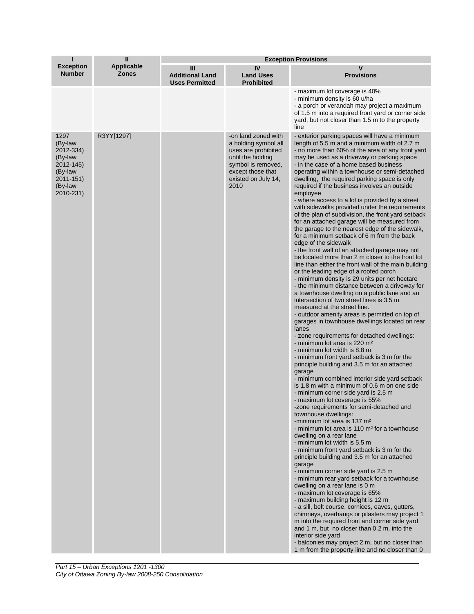| T                                                                                                    | $\mathbf{I}$               | <b>Exception Provisions</b>                          |                                                                                                                                                                   |                                                                                                                                                                                                                                                                                                                                                                                                                                                                                                                                                                                                                                                                                                                                                                                                                                                                                                                                                                                                                                                                                                                                                                                                                                                                                                                                                                                                                                                                                                                                                                                                                                                                                                                                                                                                                                                                                                                                                                                                                                                                                                                                                                                                                                                                                                                                                                                                                                                                                                                                                                                            |  |
|------------------------------------------------------------------------------------------------------|----------------------------|------------------------------------------------------|-------------------------------------------------------------------------------------------------------------------------------------------------------------------|--------------------------------------------------------------------------------------------------------------------------------------------------------------------------------------------------------------------------------------------------------------------------------------------------------------------------------------------------------------------------------------------------------------------------------------------------------------------------------------------------------------------------------------------------------------------------------------------------------------------------------------------------------------------------------------------------------------------------------------------------------------------------------------------------------------------------------------------------------------------------------------------------------------------------------------------------------------------------------------------------------------------------------------------------------------------------------------------------------------------------------------------------------------------------------------------------------------------------------------------------------------------------------------------------------------------------------------------------------------------------------------------------------------------------------------------------------------------------------------------------------------------------------------------------------------------------------------------------------------------------------------------------------------------------------------------------------------------------------------------------------------------------------------------------------------------------------------------------------------------------------------------------------------------------------------------------------------------------------------------------------------------------------------------------------------------------------------------------------------------------------------------------------------------------------------------------------------------------------------------------------------------------------------------------------------------------------------------------------------------------------------------------------------------------------------------------------------------------------------------------------------------------------------------------------------------------------------------|--|
| <b>Exception</b><br><b>Number</b>                                                                    | Applicable<br><b>Zones</b> | Ш<br><b>Additional Land</b><br><b>Uses Permitted</b> | IV<br><b>Land Uses</b><br><b>Prohibited</b>                                                                                                                       | V<br><b>Provisions</b>                                                                                                                                                                                                                                                                                                                                                                                                                                                                                                                                                                                                                                                                                                                                                                                                                                                                                                                                                                                                                                                                                                                                                                                                                                                                                                                                                                                                                                                                                                                                                                                                                                                                                                                                                                                                                                                                                                                                                                                                                                                                                                                                                                                                                                                                                                                                                                                                                                                                                                                                                                     |  |
|                                                                                                      |                            |                                                      |                                                                                                                                                                   | - maximum lot coverage is 40%<br>- minimum density is 60 u/ha<br>- a porch or verandah may project a maximum<br>of 1.5 m into a required front yard or corner side<br>yard, but not closer than 1.5 m to the property<br>line                                                                                                                                                                                                                                                                                                                                                                                                                                                                                                                                                                                                                                                                                                                                                                                                                                                                                                                                                                                                                                                                                                                                                                                                                                                                                                                                                                                                                                                                                                                                                                                                                                                                                                                                                                                                                                                                                                                                                                                                                                                                                                                                                                                                                                                                                                                                                              |  |
| 1297<br>(By-law<br>2012-334)<br>(By-law<br>2012-145)<br>(By-law<br>2011-151)<br>(By-law<br>2010-231) | R3YY[1297]                 |                                                      | -on land zoned with<br>a holding symbol all<br>uses are prohibited<br>until the holding<br>symbol is removed,<br>except those that<br>existed on July 14,<br>2010 | - exterior parking spaces will have a minimum<br>length of 5.5 m and a minimum width of 2.7 m<br>- no more than 60% of the area of any front yard<br>may be used as a driveway or parking space<br>- in the case of a home based business<br>operating within a townhouse or semi-detached<br>dwelling, the required parking space is only<br>required if the business involves an outside<br>employee<br>- where access to a lot is provided by a street<br>with sidewalks provided under the requirements<br>of the plan of subdivision, the front yard setback<br>for an attached garage will be measured from<br>the garage to the nearest edge of the sidewalk,<br>for a minimum setback of 6 m from the back<br>edge of the sidewalk<br>- the front wall of an attached garage may not<br>be located more than 2 m closer to the front lot<br>line than either the front wall of the main building<br>or the leading edge of a roofed porch<br>- minimum density is 29 units per net hectare<br>- the minimum distance between a driveway for<br>a townhouse dwelling on a public lane and an<br>intersection of two street lines is 3.5 m<br>measured at the street line.<br>- outdoor amenity areas is permitted on top of<br>garages in townhouse dwellings located on rear<br>lanes<br>- zone requirements for detached dwellings:<br>- minimum lot area is 220 m <sup>2</sup><br>- minimum lot width is 8.8 m<br>- minimum front yard setback is 3 m for the<br>principle building and 3.5 m for an attached<br>garage<br>- minimum combined interior side yard setback<br>is 1.8 m with a minimum of 0.6 m on one side<br>- minimum corner side yard is 2.5 m<br>- maximum lot coverage is 55%<br>-zone requirements for semi-detached and<br>townhouse dwellings:<br>-minimum lot area is 137 m <sup>2</sup><br>- minimum lot area is 110 m <sup>2</sup> for a townhouse<br>dwelling on a rear lane<br>- minimum lot width is 5.5 m<br>- minimum front yard setback is 3 m for the<br>principle building and 3.5 m for an attached<br>garage<br>- minimum corner side yard is 2.5 m<br>- minimum rear yard setback for a townhouse<br>dwelling on a rear lane is 0 m<br>- maximum lot coverage is 65%<br>- maximum building height is 12 m<br>- a sill, belt course, cornices, eaves, gutters,<br>chimneys, overhangs or pilasters may project 1<br>m into the required front and corner side yard<br>and 1 m, but no closer than 0.2 m, into the<br>interior side yard<br>- balconies may project 2 m, but no closer than<br>1 m from the property line and no closer than 0 |  |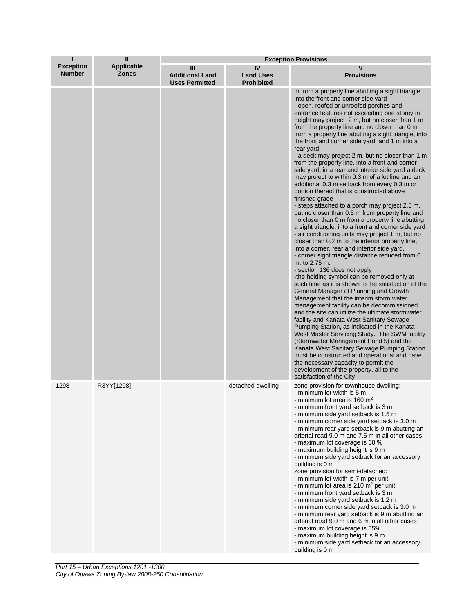| п                                 | <b>Exception Provisions</b>       |                                                      |                                             |                                                                                                                                                                                                                                                                                                                                                                                                                                                                                                                                                                                                                                                                                                                                                                                                                                                                                                                                                                                                                                                                                                                                                                                                                                                                                                                                                                                                                                                                                                                                                                                                                                                                                                                                                                                                                                                                                                                         |
|-----------------------------------|-----------------------------------|------------------------------------------------------|---------------------------------------------|-------------------------------------------------------------------------------------------------------------------------------------------------------------------------------------------------------------------------------------------------------------------------------------------------------------------------------------------------------------------------------------------------------------------------------------------------------------------------------------------------------------------------------------------------------------------------------------------------------------------------------------------------------------------------------------------------------------------------------------------------------------------------------------------------------------------------------------------------------------------------------------------------------------------------------------------------------------------------------------------------------------------------------------------------------------------------------------------------------------------------------------------------------------------------------------------------------------------------------------------------------------------------------------------------------------------------------------------------------------------------------------------------------------------------------------------------------------------------------------------------------------------------------------------------------------------------------------------------------------------------------------------------------------------------------------------------------------------------------------------------------------------------------------------------------------------------------------------------------------------------------------------------------------------------|
| <b>Exception</b><br><b>Number</b> | <b>Applicable</b><br><b>Zones</b> | Ш<br><b>Additional Land</b><br><b>Uses Permitted</b> | IV<br><b>Land Uses</b><br><b>Prohibited</b> | $\mathbf v$<br><b>Provisions</b>                                                                                                                                                                                                                                                                                                                                                                                                                                                                                                                                                                                                                                                                                                                                                                                                                                                                                                                                                                                                                                                                                                                                                                                                                                                                                                                                                                                                                                                                                                                                                                                                                                                                                                                                                                                                                                                                                        |
|                                   |                                   |                                                      |                                             | m from a property line abutting a sight triangle,<br>into the front and corner side yard<br>- open, roofed or unroofed porches and<br>entrance features not exceeding one storey in<br>height may project 2 m, but no closer than 1 m<br>from the property line and no closer than 0 m<br>from a property line abutting a sight triangle, into<br>the front and corner side yard, and 1 m into a<br>rear yard<br>- a deck may project 2 m, but no closer than 1 m<br>from the property line, into a front and corner<br>side yard; in a rear and interior side yard a deck<br>may project to within 0.3 m of a lot line and an<br>additional 0.3 m setback from every 0.3 m or<br>portion thereof that is constructed above<br>finished grade<br>- steps attached to a porch may project 2.5 m,<br>but no closer than 0.5 m from property line and<br>no closer than 0 m from a property line abutting<br>a sight triangle, into a front and corner side yard<br>- air conditioning units may project 1 m, but no<br>closer than 0.2 m to the interior property line,<br>into a corner, rear and interior side yard.<br>- corner sight triangle distance reduced from 6<br>m. to 2.75 m.<br>- section 136 does not apply<br>-the holding symbol can be removed only at<br>such time as it is shown to the satisfaction of the<br>General Manager of Planning and Growth<br>Management that the interim storm water<br>management facility can be decommissioned<br>and the site can utilize the ultimate stormwater<br>facility and Kanata West Sanitary Sewage<br>Pumping Station, as indicated in the Kanata<br>West Master Servicing Study. The SWM facility<br>(Stormwater Management Pond 5) and the<br>Kanata West Sanitary Sewage Pumping Station<br>must be constructed and operational and have<br>the necessary capacity to permit the<br>development of the property, all to the<br>satisfaction of the City |
| 1298                              | R3YY[1298]                        |                                                      | detached dwelling                           | zone provision for townhouse dwelling:<br>- minimum lot width is 5 m<br>- minimum lot area is 160 $m2$<br>- minimum front yard setback is 3 m<br>- minimum side yard setback is 1.5 m<br>- minimum corner side yard setback is 3.0 m<br>- minimum rear yard setback is 9 m abutting an<br>arterial road 9.0 m and 7.5 m in all other cases<br>- maximum lot coverage is 60 %<br>- maximum building height is 9 m<br>- minimum side yard setback for an accessory<br>building is 0 m<br>zone provision for semi-detached:<br>- minimum lot width is 7 m per unit<br>- minimum lot area is 210 $m2$ per unit<br>- minimum front yard setback is 3 m<br>- minimum side yard setback is 1.2 m<br>- minimum corner side yard setback is 3.0 m<br>- minimum rear yard setback is 9 m abutting an<br>arterial road 9.0 m and 6 m in all other cases<br>- maximum lot coverage is 55%<br>- maximum building height is 9 m<br>- minimum side yard setback for an accessory<br>building is 0 m                                                                                                                                                                                                                                                                                                                                                                                                                                                                                                                                                                                                                                                                                                                                                                                                                                                                                                                                    |